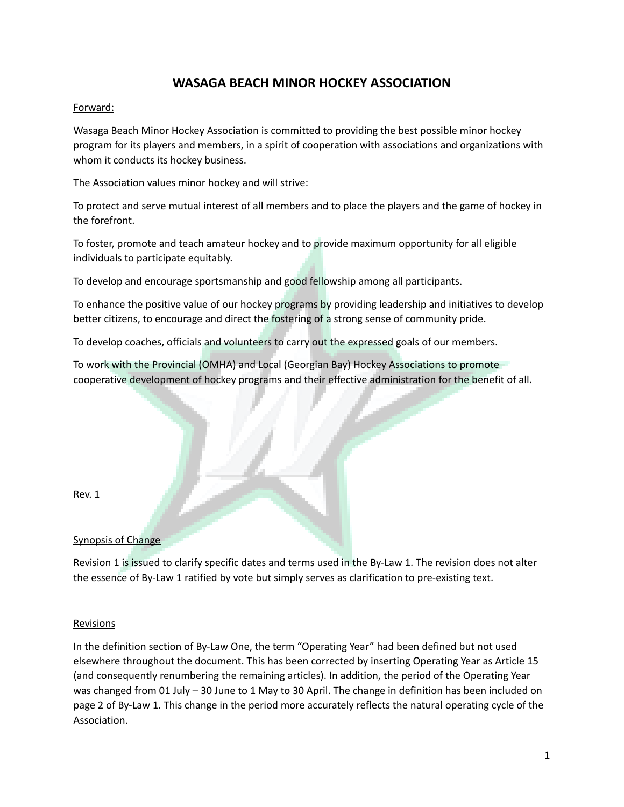# **WASAGA BEACH MINOR HOCKEY ASSOCIATION**

# Forward:

Wasaga Beach Minor Hockey Association is committed to providing the best possible minor hockey program for its players and members, in a spirit of cooperation with associations and organizations with whom it conducts its hockey business.

The Association values minor hockey and will strive:

To protect and serve mutual interest of all members and to place the players and the game of hockey in the forefront.

To foster, promote and teach amateur hockey and to provide maximum opportunity for all eligible individuals to participate equitably.

To develop and encourage sportsmanship and good fellowship among all participants.

To enhance the positive value of our hockey programs by providing leadership and initiatives to develop better citizens, to encourage and direct the fostering of a strong sense of community pride.

To develop coaches, officials and volunteers to carry out the expressed goals of our members.

To work with the Provincial (OMHA) and Local (Georgian Bay) Hockey Associations to promote cooperative development of hockey programs and their effective administration for the benefit of all.

| Rev. 1                    |  |  |
|---------------------------|--|--|
| <b>Synopsis of Change</b> |  |  |

. .

Revision 1 is issued to clarify specific dates and terms used in the By-Law 1. The revision does not alter the essence of By-Law 1 ratified by vote but simply serves as clarification to pre-existing text.

#### Revisions

In the definition section of By-Law One, the term "Operating Year" had been defined but not used elsewhere throughout the document. This has been corrected by inserting Operating Year as Article 15 (and consequently renumbering the remaining articles). In addition, the period of the Operating Year was changed from 01 July – 30 June to 1 May to 30 April. The change in definition has been included on page 2 of By-Law 1. This change in the period more accurately reflects the natural operating cycle of the Association.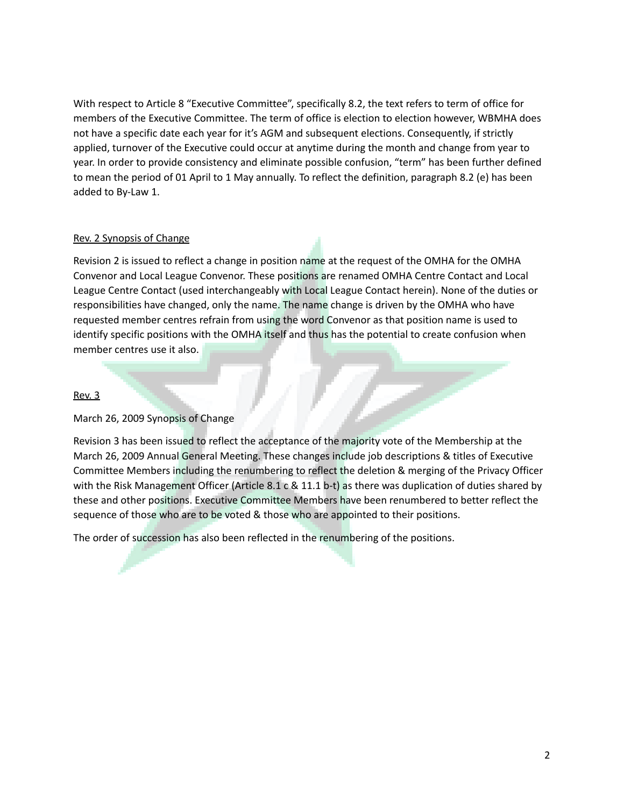With respect to Article 8 "Executive Committee", specifically 8.2, the text refers to term of office for members of the Executive Committee. The term of office is election to election however, WBMHA does not have a specific date each year for it's AGM and subsequent elections. Consequently, if strictly applied, turnover of the Executive could occur at anytime during the month and change from year to year. In order to provide consistency and eliminate possible confusion, "term" has been further defined to mean the period of 01 April to 1 May annually. To reflect the definition, paragraph 8.2 (e) has been added to By-Law 1.

#### Rev. 2 Synopsis of Change

Revision 2 is issued to reflect a change in position name at the request of the OMHA for the OMHA Convenor and Local League Convenor. These positions are renamed OMHA Centre Contact and Local League Centre Contact (used interchangeably with Local League Contact herein). None of the duties or responsibilities have changed, only the name. The name change is driven by the OMHA who have requested member centres refrain from using the word Convenor as that position name is used to identify specific positions with the OMHA itself and thus has the potential to create confusion when member centres use it also.

#### Rev. 3

March 26, 2009 Synopsis of Change

Revision 3 has been issued to reflect the acceptance of the majority vote of the Membership at the March 26, 2009 Annual General Meeting. These changes include job descriptions & titles of Executive Committee Members including the renumbering to reflect the deletion & merging of the Privacy Officer with the Risk Management Officer (Article 8.1 c & 11.1 b-t) as there was duplication of duties shared by these and other positions. Executive Committee Members have been renumbered to better reflect the sequence of those who are to be voted & those who are appointed to their positions.

The order of succession has also been reflected in the renumbering of the positions.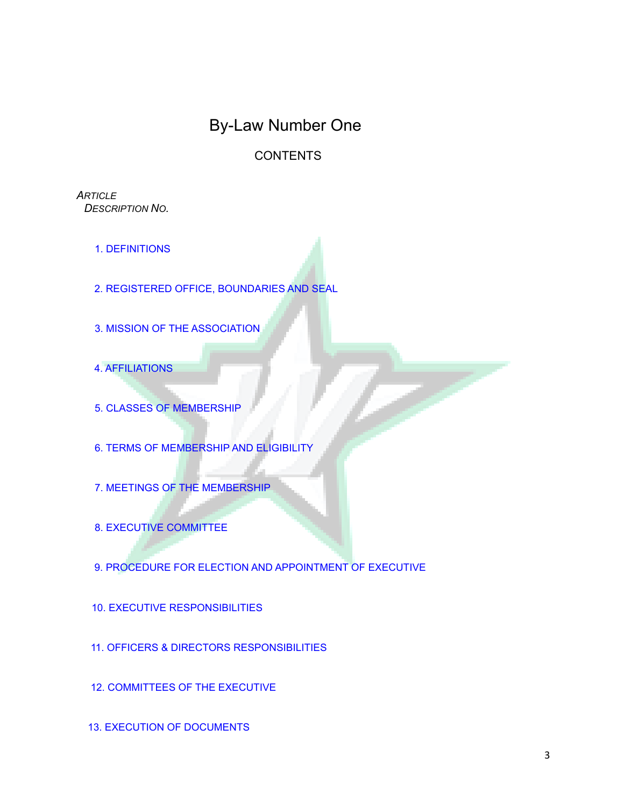# By-Law Number One

# **CONTENTS**

*ARTICLE DESCRIPTION NO.*

- 1. DEFINITIONS
- 2. REGISTERED OFFICE, BOUNDARIES AND SEAL
- 3. MISSION OF THE [ASSOCIATION](https://docs.google.com/document/d/14_TcrDBeC-QVWnj8V2603HtOVTQK7Vtc/edit#heading=h.gjdgxs)
- 4. AFFILIATIONS
- 5. CLASSES OF MEMBERSHIP
- 6. TERMS OF MEMBERSHIP AND ELIGIBILITY
- 7. MEETINGS OF THE MEMBERSHIP
- 8. EXECUTIVE [COMMITTEE](https://docs.google.com/document/d/14_TcrDBeC-QVWnj8V2603HtOVTQK7Vtc/edit#heading=h.30j0zll)
- 9. PROCEDURE FOR ELECTION AND APPOINTMENT OF EXECUTIVE
- 10. EXECUTIVE [RESPONSIBILITIES](https://docs.google.com/document/d/14_TcrDBeC-QVWnj8V2603HtOVTQK7Vtc/edit#heading=h.3dy6vkm)
- 11. OFFICERS & DIRECTORS [RESPONSIBILITIES](https://docs.google.com/document/d/14_TcrDBeC-QVWnj8V2603HtOVTQK7Vtc/edit#heading=h.1t3h5sf)
- 12. [COMMITTEES](https://docs.google.com/document/d/14_TcrDBeC-QVWnj8V2603HtOVTQK7Vtc/edit#heading=h.4d34og8) OF THE EXECUTIVE
- 13. EXECUTION OF DOCUMENTS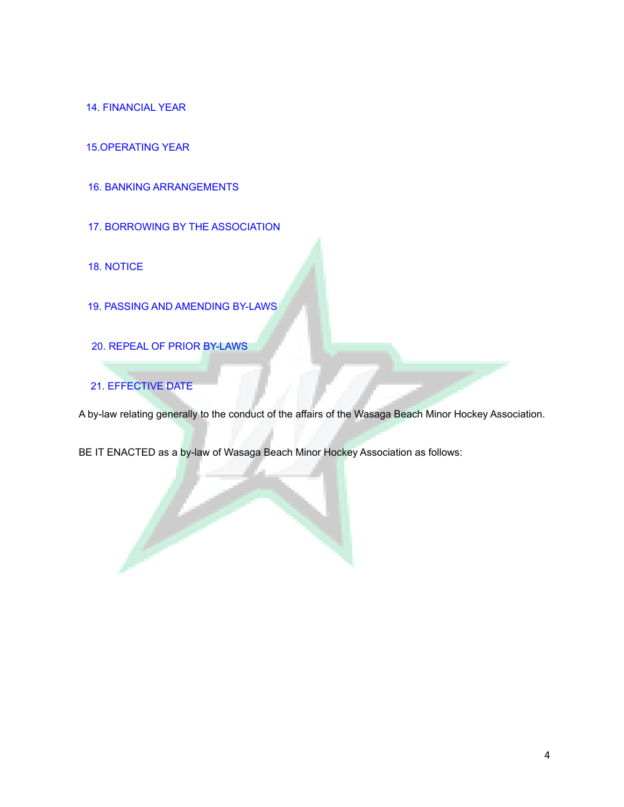14. FINANCIAL YEAR

15.OPERATING YEAR

16. BANKING [ARRANGEMENTS](https://docs.google.com/document/d/14_TcrDBeC-QVWnj8V2603HtOVTQK7Vtc/edit#heading=h.2s8eyo1)

17. BORROWING BY THE ASSOCIATION

18. NOTICE

19. PASSING AND AMENDING BY-LAWS

20. REPEAL OF PRIOR BY-LAWS

21. [EFFECTIVE](https://docs.google.com/document/d/14_TcrDBeC-QVWnj8V2603HtOVTQK7Vtc/edit#heading=h.17dp8vu) DATE

A by-law relating generally to the conduct of the affairs of the Wasaga Beach Minor Hockey Association.

BE IT ENACTED as a by-law of Wasaga Beach Minor Hockey Association as follows: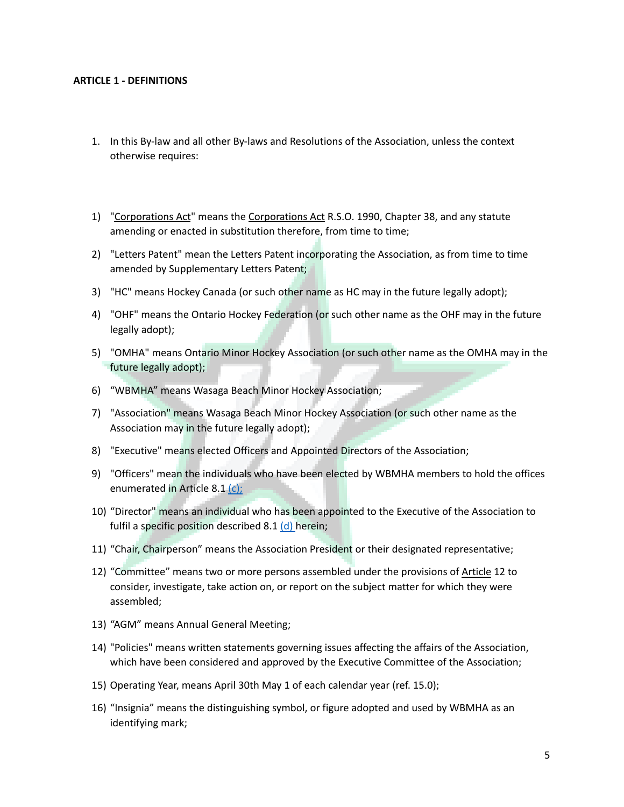#### **ARTICLE 1 - DEFINITIONS**

- 1. In this By-law and all other By-laws and Resolutions of the Association, unless the context otherwise requires:
- 1) "Corporations Act" means the Corporations Act R.S.O. 1990, Chapter 38, and any statute amending or enacted in substitution therefore, from time to time;
- 2) "Letters Patent" mean the Letters Patent incorporating the Association, as from time to time amended by Supplementary Letters Patent;
- 3) "HC" means Hockey Canada (or such other name as HC may in the future legally adopt);
- 4) "OHF" means the Ontario Hockey Federation (or such other name as the OHF may in the future legally adopt);
- 5) "OMHA" means Ontario Minor Hockey Association (or such other name as the OMHA may in the future legally adopt);
- 6) "WBMHA" means Wasaga Beach Minor Hockey Association;
- 7) "Association" means Wasaga Beach Minor Hockey Association (or such other name as the Association may in the future legally adopt);
- 8) "Executive" means elected Officers and Appointed Directors of the Association;
- 9) "Officers" mean the individuals who have been elected by WBMHA members to hold the offices enumerated in Article 8.1 [\(c\);](https://docs.google.com/document/d/14_TcrDBeC-QVWnj8V2603HtOVTQK7Vtc/edit#heading=h.1fob9te)
- 10) "Director" means an individual who has been appointed to the Executive of the Association to fulfil a specific position described  $8.1$  [\(d\)](https://docs.google.com/document/d/14_TcrDBeC-QVWnj8V2603HtOVTQK7Vtc/edit#heading=h.3znysh7) herein;
- 11) "Chair, Chairperson" means the Association President or their designated representative;
- 12) "Committee" means two or more persons assembled under the provisions of Article 12 to consider, investigate, take action on, or report on the subject matter for which they were assembled;
- 13) "AGM" means Annual General Meeting;
- 14) "Policies" means written statements governing issues affecting the affairs of the Association, which have been considered and approved by the Executive Committee of the Association;
- 15) Operating Year, means April 30th May 1 of each calendar year (ref. 15.0);
- 16) "Insignia" means the distinguishing symbol, or figure adopted and used by WBMHA as an identifying mark;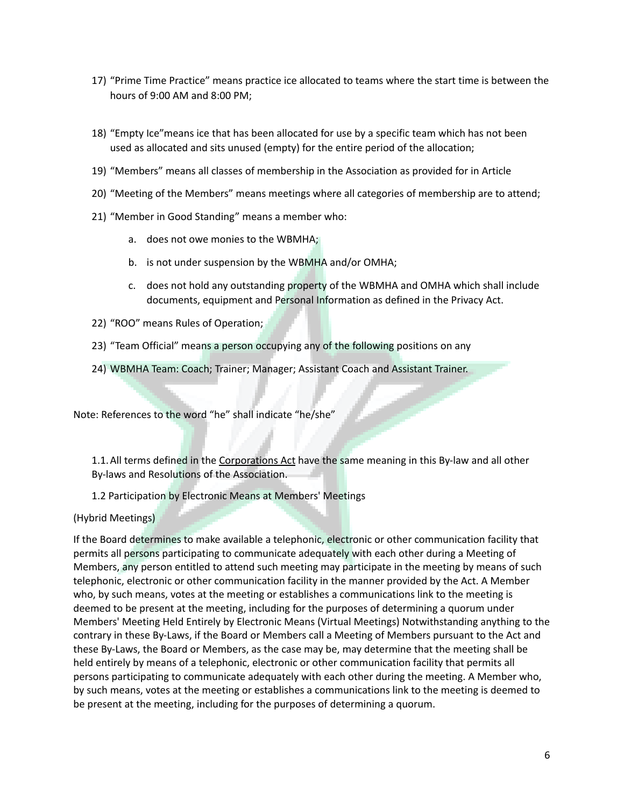- 17) "Prime Time Practice" means practice ice allocated to teams where the start time is between the hours of 9:00 AM and 8:00 PM;
- 18) "Empty Ice"means ice that has been allocated for use by a specific team which has not been used as allocated and sits unused (empty) for the entire period of the allocation;
- 19) "Members" means all classes of membership in the Association as provided for in Article
- 20) "Meeting of the Members" means meetings where all categories of membership are to attend;
- 21) "Member in Good Standing" means a member who:
	- a. does not owe monies to the WBMHA;
	- b. is not under suspension by the WBMHA and/or OMHA;
	- c. does not hold any outstanding property of the WBMHA and OMHA which shall include documents, equipment and Personal Information as defined in the Privacy Act.
- 22) "ROO" means Rules of Operation;
- 23) "Team Official" means a person occupying any of the following positions on any
- 24) WBMHA Team: Coach; Trainer; Manager; Assistant Coach and Assistant Trainer.

Note: References to the word "he" shall indicate "he/she"

1.1.All terms defined in the Corporations Act have the same meaning in this By-law and all other By-laws and Resolutions of the Association.

1.2 Participation by Electronic Means at Members' Meetings

(Hybrid Meetings)

If the Board determines to make available a telephonic, electronic or other communication facility that permits all persons participating to communicate adequately with each other during a Meeting of Members, any person entitled to attend such meeting may participate in the meeting by means of such telephonic, electronic or other communication facility in the manner provided by the Act. A Member who, by such means, votes at the meeting or establishes a communications link to the meeting is deemed to be present at the meeting, including for the purposes of determining a quorum under Members' Meeting Held Entirely by Electronic Means (Virtual Meetings) Notwithstanding anything to the contrary in these By-Laws, if the Board or Members call a Meeting of Members pursuant to the Act and these By-Laws, the Board or Members, as the case may be, may determine that the meeting shall be held entirely by means of a telephonic, electronic or other communication facility that permits all persons participating to communicate adequately with each other during the meeting. A Member who, by such means, votes at the meeting or establishes a communications link to the meeting is deemed to be present at the meeting, including for the purposes of determining a quorum.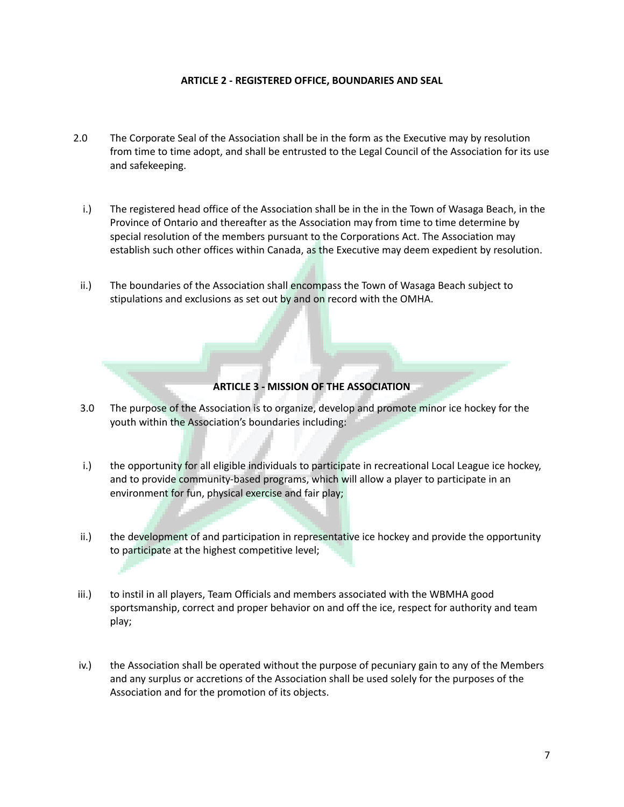#### **ARTICLE 2 - REGISTERED OFFICE, BOUNDARIES AND SEAL**

- 2.0 The Corporate Seal of the Association shall be in the form as the Executive may by resolution from time to time adopt, and shall be entrusted to the Legal Council of the Association for its use and safekeeping.
	- i.) The registered head office of the Association shall be in the in the Town of Wasaga Beach, in the Province of Ontario and thereafter as the Association may from time to time determine by special resolution of the members pursuant to the Corporations Act. The Association may establish such other offices within Canada, as the Executive may deem expedient by resolution.
- ii.) The boundaries of the Association shall encompass the Town of Wasaga Beach subject to stipulations and exclusions as set out by and on record with the OMHA.

#### **ARTICLE 3 - MISSION OF THE ASSOCIATION**

- 3.0 The purpose of the Association is to organize, develop and promote minor ice hockey for the youth within the Association's boundaries including:
- i.) the opportunity for all eligible individuals to participate in recreational Local League ice hockey, and to provide community-based programs, which will allow a player to participate in an environment for fun, physical exercise and fair play;
- ii.) the development of and participation in representative ice hockey and provide the opportunity to participate at the highest competitive level;
- iii.) to instil in all players, Team Officials and members associated with the WBMHA good sportsmanship, correct and proper behavior on and off the ice, respect for authority and team play;
- iv.) the Association shall be operated without the purpose of pecuniary gain to any of the Members and any surplus or accretions of the Association shall be used solely for the purposes of the Association and for the promotion of its objects.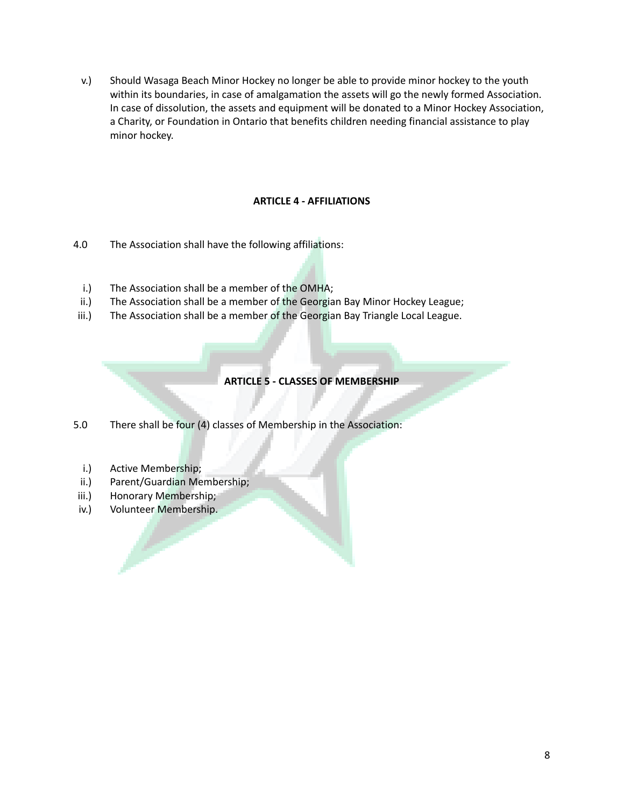v.) Should Wasaga Beach Minor Hockey no longer be able to provide minor hockey to the youth within its boundaries, in case of amalgamation the assets will go the newly formed Association. In case of dissolution, the assets and equipment will be donated to a Minor Hockey Association, a Charity, or Foundation in Ontario that benefits children needing financial assistance to play minor hockey.

# **ARTICLE 4 - AFFILIATIONS**

- 4.0 The Association shall have the following affiliations:
	- i.) The Association shall be a member of the OMHA;
- ii.) The Association shall be a member of the Georgian Bay Minor Hockey League;
- iii.) The Association shall be a member of the Georgian Bay Triangle Local League.

# **ARTICLE 5 - CLASSES OF MEMBERSHIP**

5.0 There shall be four (4) classes of Membership in the Association:

- i.) Active Membership;
- ii.) Parent/Guardian Membership;
- iii.) Honorary Membership;
- iv.) Volunteer Membership.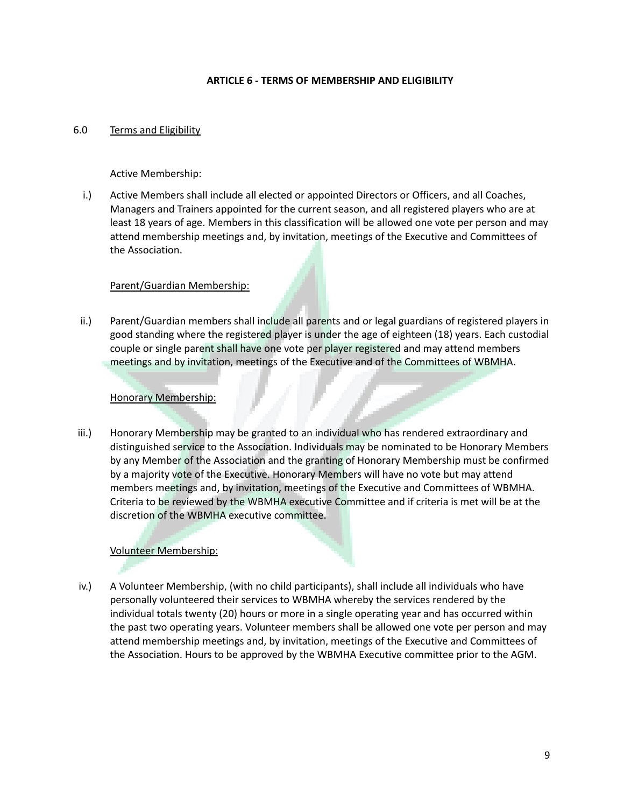#### **ARTICLE 6 - TERMS OF MEMBERSHIP AND ELIGIBILITY**

#### 6.0 Terms and Eligibility

Active Membership:

i.) Active Members shall include all elected or appointed Directors or Officers, and all Coaches, Managers and Trainers appointed for the current season, and all registered players who are at least 18 years of age. Members in this classification will be allowed one vote per person and may attend membership meetings and, by invitation, meetings of the Executive and Committees of the Association.

#### Parent/Guardian Membership:

ii.) Parent/Guardian members shall include all parents and or legal guardians of registered players in good standing where the registered player is under the age of eighteen (18) years. Each custodial couple or single parent shall have one vote per player registered and may attend members meetings and by invitation, meetings of the Executive and of the Committees of WBMHA.

#### Honorary Membership:

iii.) Honorary Membership may be granted to an individual who has rendered extraordinary and distinguished service to the Association. Individuals may be nominated to be Honorary Members by any Member of the Association and the granting of Honorary Membership must be confirmed by a majority vote of the Executive. Honorary Members will have no vote but may attend members meetings and, by invitation, meetings of the Executive and Committees of WBMHA. Criteria to be reviewed by the WBMHA executive Committee and if criteria is met will be at the discretion of the WBMHA executive committee.

#### Volunteer Membership:

iv.) A Volunteer Membership, (with no child participants), shall include all individuals who have personally volunteered their services to WBMHA whereby the services rendered by the individual totals twenty (20) hours or more in a single operating year and has occurred within the past two operating years. Volunteer members shall be allowed one vote per person and may attend membership meetings and, by invitation, meetings of the Executive and Committees of the Association. Hours to be approved by the WBMHA Executive committee prior to the AGM.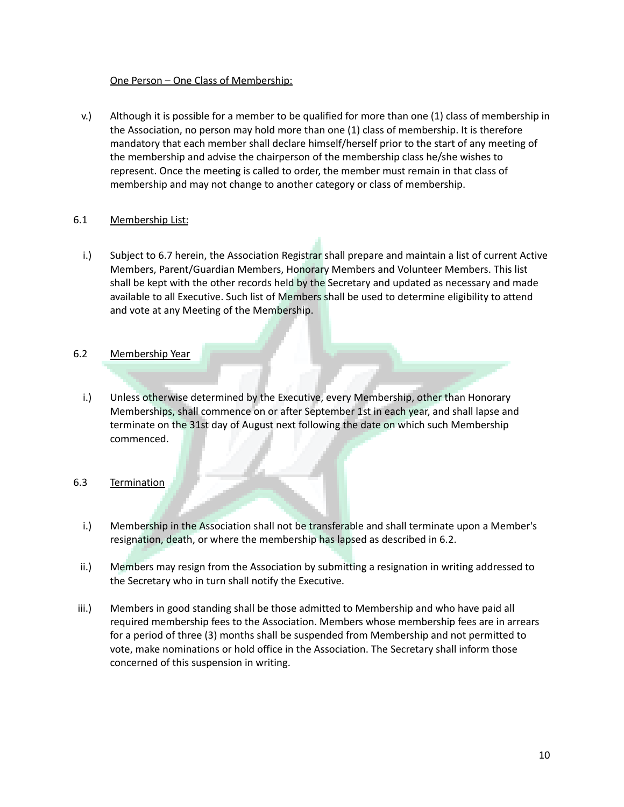#### One Person – One Class of Membership:

v.) Although it is possible for a member to be qualified for more than one (1) class of membership in the Association, no person may hold more than one (1) class of membership. It is therefore mandatory that each member shall declare himself/herself prior to the start of any meeting of the membership and advise the chairperson of the membership class he/she wishes to represent. Once the meeting is called to order, the member must remain in that class of membership and may not change to another category or class of membership.

#### 6.1 Membership List:

i.) Subject to 6.7 herein, the Association Registrar shall prepare and maintain a list of current Active Members, Parent/Guardian Members, Honorary Members and Volunteer Members. This list shall be kept with the other records held by the Secretary and updated as necessary and made available to all Executive. Such list of Members shall be used to determine eligibility to attend and vote at any Meeting of the Membership.

# 6.2 Membership Year

i.) Unless otherwise determined by the Executive, every Membership, other than Honorary Memberships, shall commence on or after September 1st in each year, and shall lapse and terminate on the 31st day of August next following the date on which such Membership commenced.

#### 6.3 Termination

- i.) Membership in the Association shall not be transferable and shall terminate upon a Member's resignation, death, or where the membership has lapsed as described in 6.2.
- ii.) Members may resign from the Association by submitting a resignation in writing addressed to the Secretary who in turn shall notify the Executive.
- iii.) Members in good standing shall be those admitted to Membership and who have paid all required membership fees to the Association. Members whose membership fees are in arrears for a period of three (3) months shall be suspended from Membership and not permitted to vote, make nominations or hold office in the Association. The Secretary shall inform those concerned of this suspension in writing.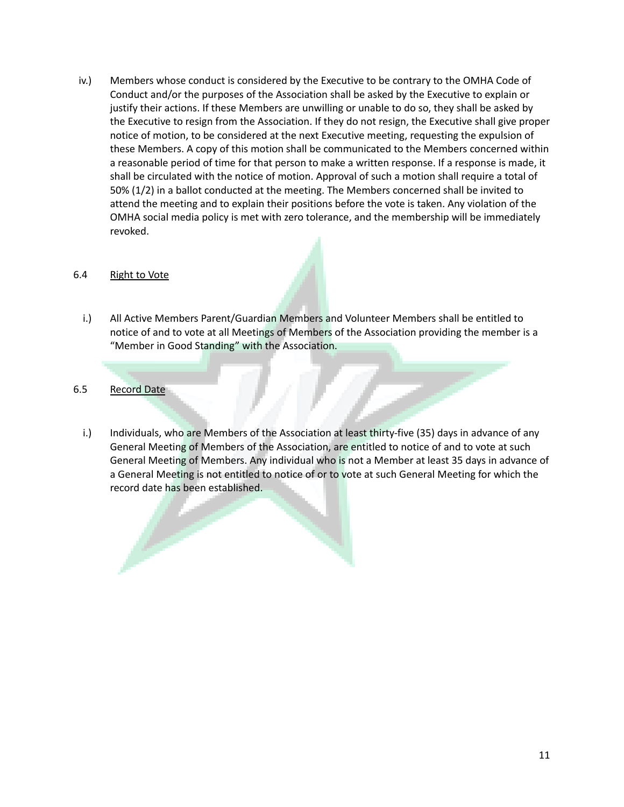iv.) Members whose conduct is considered by the Executive to be contrary to the OMHA Code of Conduct and/or the purposes of the Association shall be asked by the Executive to explain or justify their actions. If these Members are unwilling or unable to do so, they shall be asked by the Executive to resign from the Association. If they do not resign, the Executive shall give proper notice of motion, to be considered at the next Executive meeting, requesting the expulsion of these Members. A copy of this motion shall be communicated to the Members concerned within a reasonable period of time for that person to make a written response. If a response is made, it shall be circulated with the notice of motion. Approval of such a motion shall require a total of 50% (1/2) in a ballot conducted at the meeting. The Members concerned shall be invited to attend the meeting and to explain their positions before the vote is taken. Any violation of the OMHA social media policy is met with zero tolerance, and the membership will be immediately revoked.

#### 6.4 Right to Vote

- i.) All Active Members Parent/Guardian Members and Volunteer Members shall be entitled to notice of and to vote at all Meetings of Members of the Association providing the member is a "Member in Good Standing" with the Association.
- 6.5 Record Date
	- i.) Individuals, who are Members of the Association at least thirty-five (35) days in advance of any General Meeting of Members of the Association, are entitled to notice of and to vote at such General Meeting of Members. Any individual who is not a Member at least 35 days in advance of a General Meeting is not entitled to notice of or to vote at such General Meeting for which the record date has been established.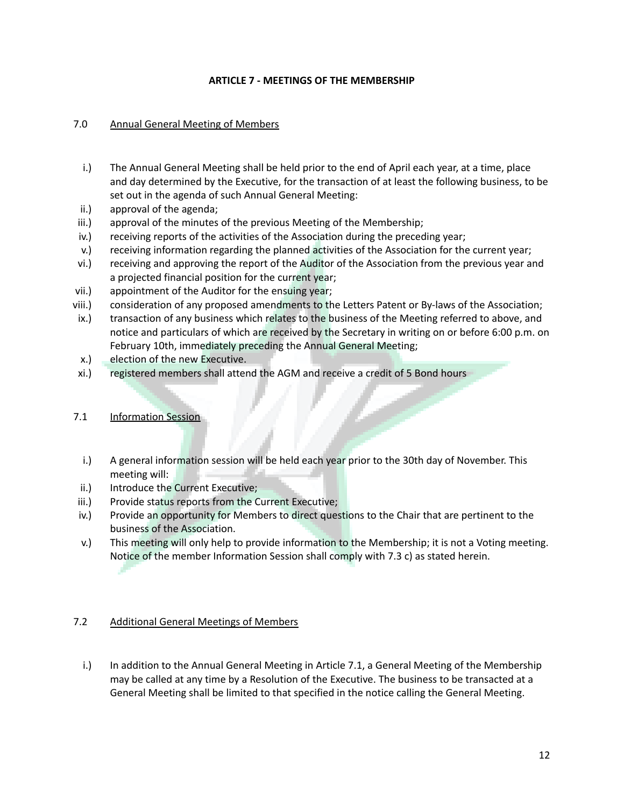#### **ARTICLE 7 - MEETINGS OF THE MEMBERSHIP**

# 7.0 Annual General Meeting of Members

- i.) The Annual General Meeting shall be held prior to the end of April each year, at a time, place and day determined by the Executive, for the transaction of at least the following business, to be set out in the agenda of such Annual General Meeting:
- ii.) approval of the agenda;
- iii.) approval of the minutes of the previous Meeting of the Membership;
- iv.) receiving reports of the activities of the Association during the preceding year;
- v.) receiving information regarding the planned activities of the Association for the current year;
- vi.) receiving and approving the report of the Auditor of the Association from the previous year and a projected financial position for the current year;
- vii.) appointment of the Auditor for the ensuing year;
- viii.) consideration of any proposed amendments to the Letters Patent or By-laws of the Association;
- ix.) transaction of any business which relates to the business of the Meeting referred to above, and notice and particulars of which are received by the Secretary in writing on or before 6:00 p.m. on February 10th, immediately preceding the Annual General Meeting;
- x.) election of the new Executive.
- xi.) registered members shall attend the AGM and receive a credit of 5 Bond hours

#### 7.1 Information Session

- i.) A general information session will be held each year prior to the 30th day of November. This meeting will:
- ii.) Introduce the Current Executive;
- iii.) Provide status reports from the Current Executive;
- iv.) Provide an opportunity for Members to direct questions to the Chair that are pertinent to the business of the Association.
- v.) This meeting will only help to provide information to the Membership; it is not a Voting meeting. Notice of the member Information Session shall comply with 7.3 c) as stated herein.

# 7.2 Additional General Meetings of Members

i.) In addition to the Annual General Meeting in Article 7.1, a General Meeting of the Membership may be called at any time by a Resolution of the Executive. The business to be transacted at a General Meeting shall be limited to that specified in the notice calling the General Meeting.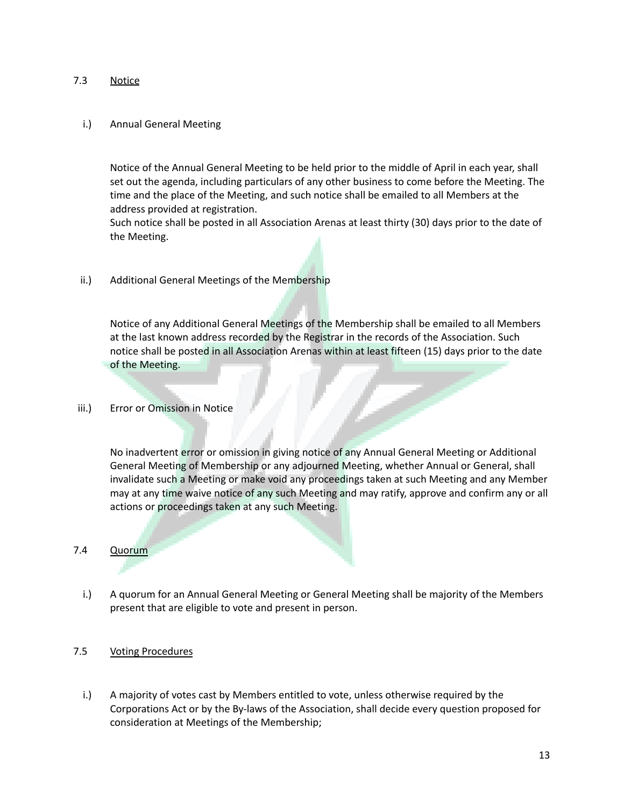#### 7.3 Notice

#### i.) Annual General Meeting

Notice of the Annual General Meeting to be held prior to the middle of April in each year, shall set out the agenda, including particulars of any other business to come before the Meeting. The time and the place of the Meeting, and such notice shall be emailed to all Members at the address provided at registration.

Such notice shall be posted in all Association Arenas at least thirty (30) days prior to the date of the Meeting.

ii.) Additional General Meetings of the Membership

Notice of any Additional General Meetings of the Membership shall be emailed to all Members at the last known address recorded by the Registrar in the records of the Association. Such notice shall be posted in all Association Arenas within at least fifteen (15) days prior to the date of the Meeting.

iii.) Error or Omission in Notice

No inadvertent error or omission in giving notice of any Annual General Meeting or Additional General Meeting of Membership or any adjourned Meeting, whether Annual or General, shall invalidate such a Meeting or make void any proceedings taken at such Meeting and any Member may at any time waive notice of any such Meeting and may ratify, approve and confirm any or all actions or proceedings taken at any such Meeting.

#### 7.4 Quorum

i.) A quorum for an Annual General Meeting or General Meeting shall be majority of the Members present that are eligible to vote and present in person.

#### 7.5 Voting Procedures

i.) A majority of votes cast by Members entitled to vote, unless otherwise required by the Corporations Act or by the By-laws of the Association, shall decide every question proposed for consideration at Meetings of the Membership;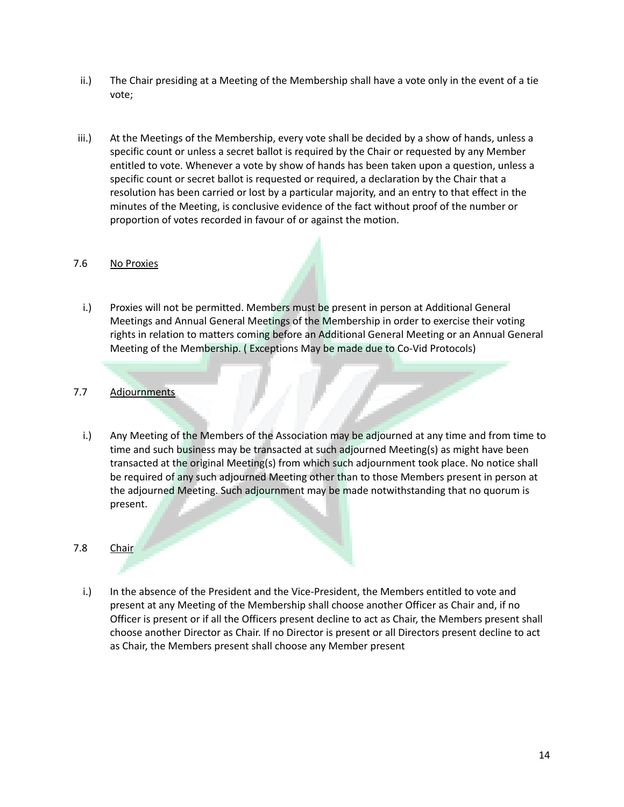- ii.) The Chair presiding at a Meeting of the Membership shall have a vote only in the event of a tie vote;
- iii.) At the Meetings of the Membership, every vote shall be decided by a show of hands, unless a specific count or unless a secret ballot is required by the Chair or requested by any Member entitled to vote. Whenever a vote by show of hands has been taken upon a question, unless a specific count or secret ballot is requested or required, a declaration by the Chair that a resolution has been carried or lost by a particular majority, and an entry to that effect in the minutes of the Meeting, is conclusive evidence of the fact without proof of the number or proportion of votes recorded in favour of or against the motion.

#### 7.6 No Proxies

i.) Proxies will not be permitted. Members must be present in person at Additional General Meetings and Annual General Meetings of the Membership in order to exercise their voting rights in relation to matters coming before an Additional General Meeting or an Annual General Meeting of the Membership. ( Exceptions May be made due to Co-Vid Protocols)

# 7.7 Adjournments

i.) Any Meeting of the Members of the Association may be adjourned at any time and from time to time and such business may be transacted at such adjourned Meeting(s) as might have been transacted at the original Meeting(s) from which such adjournment took place. No notice shall be required of any such adjourned Meeting other than to those Members present in person at the adjourned Meeting. Such adjournment may be made notwithstanding that no quorum is present.

#### 7.8 Chair

i.) In the absence of the President and the Vice-President, the Members entitled to vote and present at any Meeting of the Membership shall choose another Officer as Chair and, if no Officer is present or if all the Officers present decline to act as Chair, the Members present shall choose another Director as Chair. If no Director is present or all Directors present decline to act as Chair, the Members present shall choose any Member present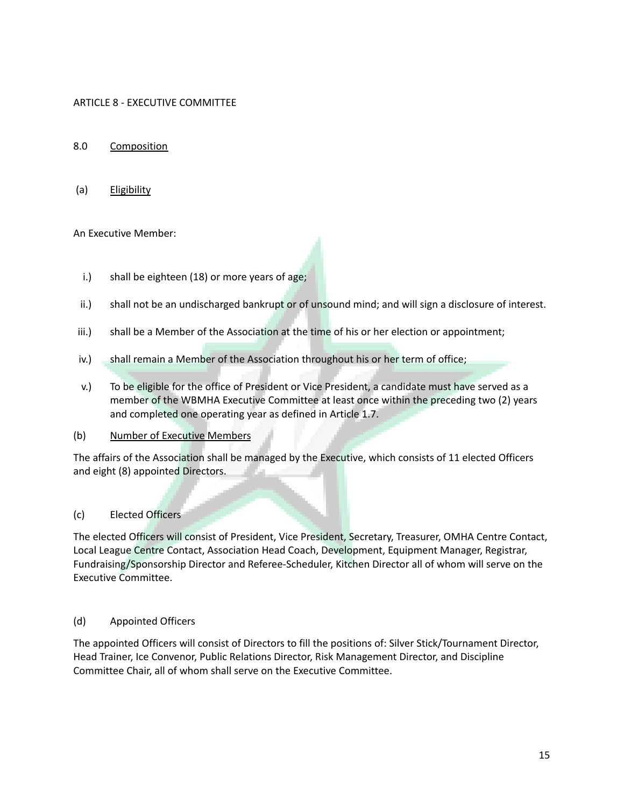# ARTICLE 8 - EXECUTIVE COMMITTEE

## 8.0 Composition

(a) Eligibility

# An Executive Member:

- i.) shall be eighteen (18) or more years of age;
- ii.) shall not be an undischarged bankrupt or of unsound mind; and will sign a disclosure of interest.
- iii.) shall be a Member of the Association at the time of his or her election or appointment;
- iv.) shall remain a Member of the Association throughout his or her term of office;
- v.) To be eligible for the office of President or Vice President, a candidate must have served as a member of the WBMHA Executive Committee at least once within the preceding two (2) years and completed one operating year as defined in Article 1.7.

#### (b) Number of Executive Members

The affairs of the Association shall be managed by the Executive, which consists of 11 elected Officers and eight (8) appointed Directors.

### (c) Elected Officers

The elected Officers will consist of President, Vice President, Secretary, Treasurer, OMHA Centre Contact, Local League Centre Contact, Association Head Coach, Development, Equipment Manager, Registrar, Fundraising/Sponsorship Director and Referee-Scheduler, Kitchen Director all of whom will serve on the Executive Committee.

#### (d) Appointed Officers

The appointed Officers will consist of Directors to fill the positions of: Silver Stick/Tournament Director, Head Trainer, Ice Convenor, Public Relations Director, Risk Management Director, and Discipline Committee Chair, all of whom shall serve on the Executive Committee.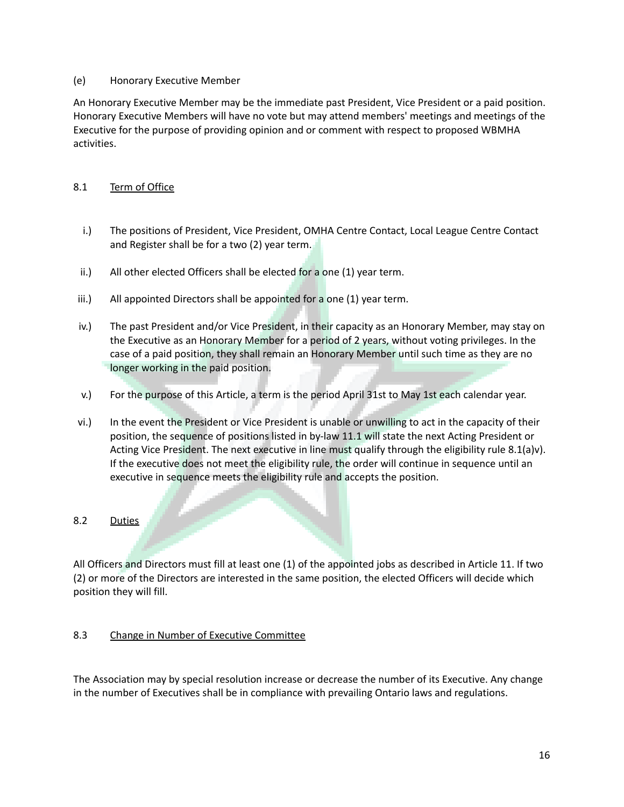#### (e) Honorary Executive Member

An Honorary Executive Member may be the immediate past President, Vice President or a paid position. Honorary Executive Members will have no vote but may attend members' meetings and meetings of the Executive for the purpose of providing opinion and or comment with respect to proposed WBMHA activities.

# 8.1 Term of Office

- i.) The positions of President, Vice President, OMHA Centre Contact, Local League Centre Contact and Register shall be for a two (2) year term.
- ii.) All other elected Officers shall be elected for a one (1) year term.
- iii.) All appointed Directors shall be appointed for a one  $(1)$  year term.
- iv.) The past President and/or Vice President, in their capacity as an Honorary Member, may stay on the Executive as an Honorary Member for a period of 2 years, without voting privileges. In the case of a paid position, they shall remain an Honorary Member until such time as they are no longer working in the paid position.
- v.) For the purpose of this Article, a term is the period April 31st to May 1st each calendar year.
- vi.) In the event the President or Vice President is unable or unwilling to act in the capacity of their position, the sequence of positions listed in by-law 11.1 will state the next Acting President or Acting Vice President. The next executive in line must qualify through the eligibility rule 8.1(a)v). If the executive does not meet the eligibility rule, the order will continue in sequence until an executive in sequence meets the eligibility rule and accepts the position.

#### 8.2 Duties

All Officers and Directors must fill at least one (1) of the appointed jobs as described in Article 11. If two (2) or more of the Directors are interested in the same position, the elected Officers will decide which position they will fill.

# 8.3 Change in Number of Executive Committee

The Association may by special resolution increase or decrease the number of its Executive. Any change in the number of Executives shall be in compliance with prevailing Ontario laws and regulations.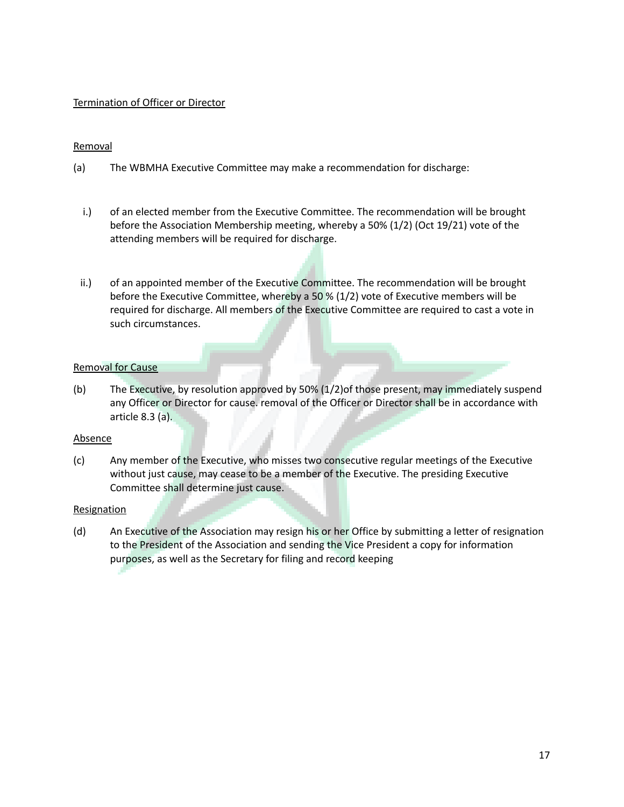#### Termination of Officer or Director

#### **Removal**

- (a) The WBMHA Executive Committee may make a recommendation for discharge:
	- i.) of an elected member from the Executive Committee. The recommendation will be brought before the Association Membership meeting, whereby a 50% (1/2) (Oct 19/21) vote of the attending members will be required for discharge.
- ii.) of an appointed member of the Executive Committee. The recommendation will be brought before the Executive Committee, whereby a 50 % (1/2) vote of Executive members will be required for discharge. All members of the Executive Committee are required to cast a vote in such circumstances.

#### Removal for Cause

(b) The Executive, by resolution approved by 50% (1/2)of those present, may immediately suspend any Officer or Director for cause. removal of the Officer or Director shall be in accordance with article 8.3 (a).

#### Absence

(c) Any member of the Executive, who misses two consecutive regular meetings of the Executive without just cause, may cease to be a member of the Executive. The presiding Executive Committee shall determine just cause.

#### **Resignation**

(d) An Executive of the Association may resign his or her Office by submitting a letter of resignation to the President of the Association and sending the Vice President a copy for information purposes, as well as the Secretary for filing and record keeping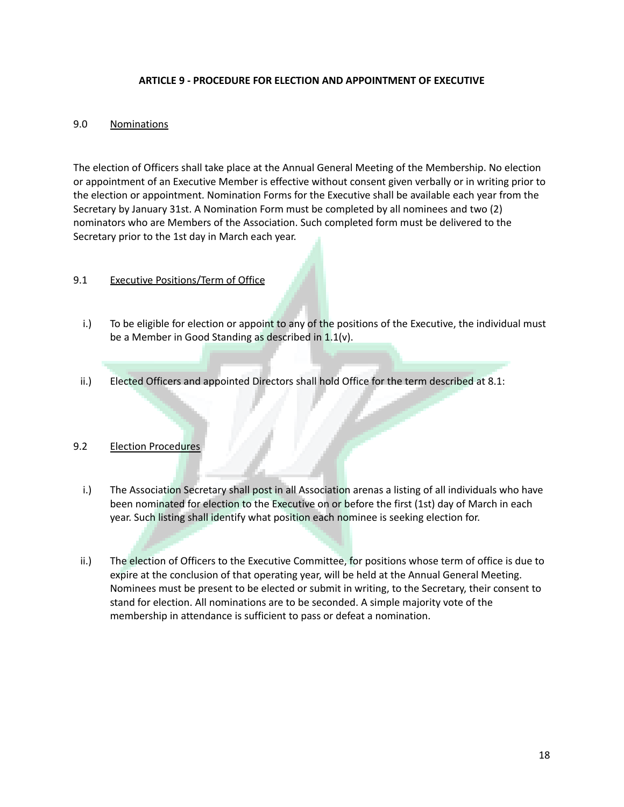#### **ARTICLE 9 - PROCEDURE FOR ELECTION AND APPOINTMENT OF EXECUTIVE**

#### 9.0 Nominations

The election of Officers shall take place at the Annual General Meeting of the Membership. No election or appointment of an Executive Member is effective without consent given verbally or in writing prior to the election or appointment. Nomination Forms for the Executive shall be available each year from the Secretary by January 31st. A Nomination Form must be completed by all nominees and two (2) nominators who are Members of the Association. Such completed form must be delivered to the Secretary prior to the 1st day in March each year.

#### 9.1 Executive Positions/Term of Office

- i.) To be eligible for election or appoint to any of the positions of the Executive, the individual must be a Member in Good Standing as described in 1.1(v).
- ii.) Elected Officers and appointed Directors shall hold Office for the term described at 8.1:

#### 9.2 Election Procedures

- i.) The Association Secretary shall post in all Association arenas a listing of all individuals who have been nominated for election to the Executive on or before the first (1st) day of March in each year. Such listing shall identify what position each nominee is seeking election for.
- ii.) The election of Officers to the Executive Committee, for positions whose term of office is due to expire at the conclusion of that operating year, will be held at the Annual General Meeting. Nominees must be present to be elected or submit in writing, to the Secretary, their consent to stand for election. All nominations are to be seconded. A simple majority vote of the membership in attendance is sufficient to pass or defeat a nomination.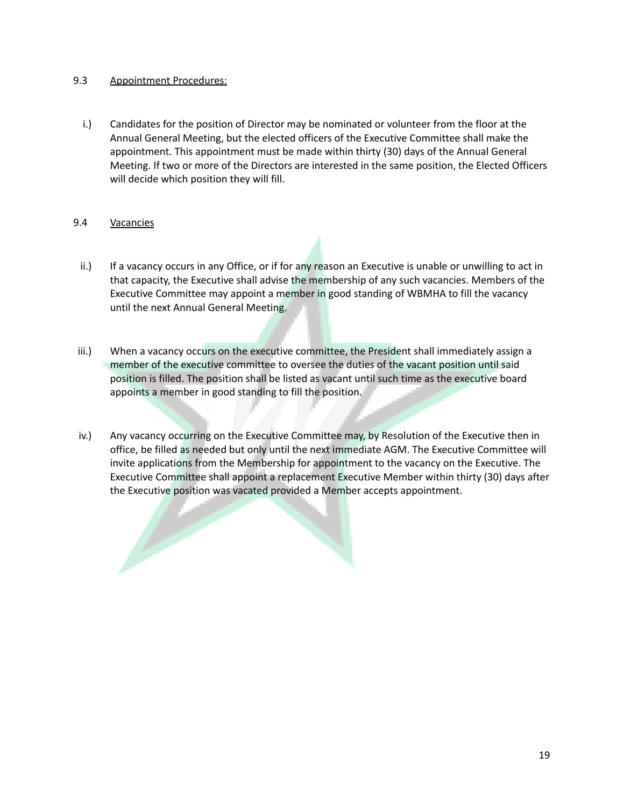#### 9.3 Appointment Procedures:

i.) Candidates for the position of Director may be nominated or volunteer from the floor at the Annual General Meeting, but the elected officers of the Executive Committee shall make the appointment. This appointment must be made within thirty (30) days of the Annual General Meeting. If two or more of the Directors are interested in the same position, the Elected Officers will decide which position they will fill.

#### 9.4 Vacancies

- ii.) If a vacancy occurs in any Office, or if for any reason an Executive is unable or unwilling to act in that capacity, the Executive shall advise the membership of any such vacancies. Members of the Executive Committee may appoint a member in good standing of WBMHA to fill the vacancy until the next Annual General Meeting.
- iii.) When a vacancy occurs on the executive committee, the President shall immediately assign a member of the executive committee to oversee the duties of the vacant position until said position is filled. The position shall be listed as vacant until such time as the executive board appoints a member in good standing to fill the position.
- iv.) Any vacancy occurring on the Executive Committee may, by Resolution of the Executive then in office, be filled as needed but only until the next immediate AGM. The Executive Committee will invite applications from the Membership for appointment to the vacancy on the Executive. The Executive Committee shall appoint a replacement Executive Member within thirty (30) days after the Executive position was vacated provided a Member accepts appointment.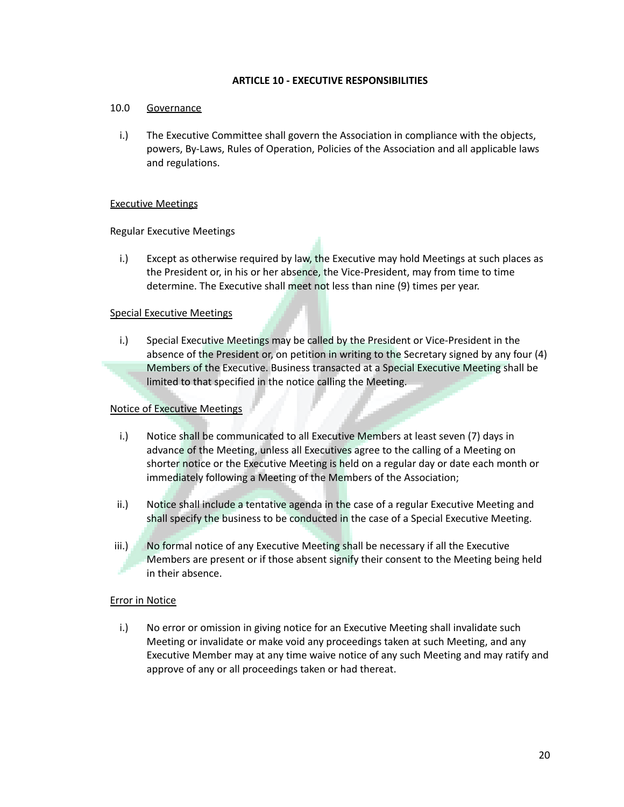#### **ARTICLE 10 - EXECUTIVE RESPONSIBILITIES**

#### 10.0 Governance

i.) The Executive Committee shall govern the Association in compliance with the objects, powers, By-Laws, Rules of Operation, Policies of the Association and all applicable laws and regulations.

#### Executive Meetings

Regular Executive Meetings

i.) Except as otherwise required by law, the Executive may hold Meetings at such places as the President or, in his or her absence, the Vice-President, may from time to time determine. The Executive shall meet not less than nine (9) times per year.

#### Special Executive Meetings

i.) Special Executive Meetings may be called by the President or Vice-President in the absence of the President or, on petition in writing to the Secretary signed by any four (4) Members of the Executive. Business transacted at a Special Executive Meeting shall be limited to that specified in the notice calling the Meeting.

#### Notice of Executive Meetings

- i.) Notice shall be communicated to all Executive Members at least seven (7) days in advance of the Meeting, unless all Executives agree to the calling of a Meeting on shorter notice or the Executive Meeting is held on a regular day or date each month or immediately following a Meeting of the Members of the Association;
- ii.) Notice shall include a tentative agenda in the case of a regular Executive Meeting and shall specify the business to be conducted in the case of a Special Executive Meeting.
- iii.) No formal notice of any Executive Meeting shall be necessary if all the Executive Members are present or if those absent signify their consent to the Meeting being held in their absence.

#### Error in Notice

i.) No error or omission in giving notice for an Executive Meeting shall invalidate such Meeting or invalidate or make void any proceedings taken at such Meeting, and any Executive Member may at any time waive notice of any such Meeting and may ratify and approve of any or all proceedings taken or had thereat.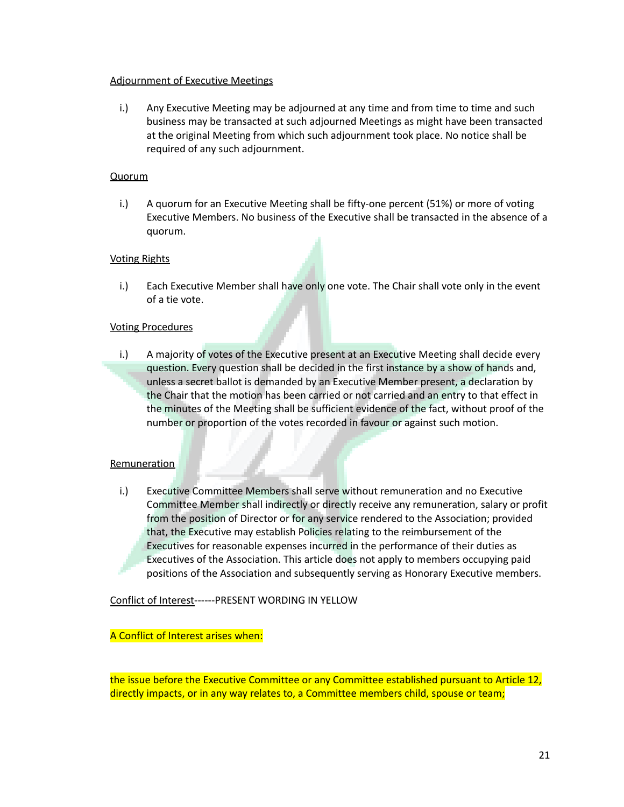#### Adjournment of Executive Meetings

i.) Any Executive Meeting may be adjourned at any time and from time to time and such business may be transacted at such adjourned Meetings as might have been transacted at the original Meeting from which such adjournment took place. No notice shall be required of any such adjournment.

#### **Quorum**

i.) A quorum for an Executive Meeting shall be fifty-one percent (51%) or more of voting Executive Members. No business of the Executive shall be transacted in the absence of a quorum.

#### Voting Rights

i.) Each Executive Member shall have only one vote. The Chair shall vote only in the event of a tie vote.

#### Voting Procedures

i.) A majority of votes of the Executive present at an Executive Meeting shall decide every question. Every question shall be decided in the first instance by a show of hands and, unless a secret ballot is demanded by an Executive Member present, a declaration by the Chair that the motion has been carried or not carried and an entry to that effect in the minutes of the Meeting shall be sufficient evidence of the fact, without proof of the number or proportion of the votes recorded in favour or against such motion.

#### **Remuneration**

i.) Executive Committee Members shall serve without remuneration and no Executive Committee Member shall indirectly or directly receive any remuneration, salary or profit from the position of Director or for any service rendered to the Association; provided that, the Executive may establish Policies relating to the reimbursement of the Executives for reasonable expenses incurred in the performance of their duties as Executives of the Association. This article does not apply to members occupying paid positions of the Association and subsequently serving as Honorary Executive members.

Conflict of Interest------PRESENT WORDING IN YELLOW

#### A Conflict of Interest arises when:

the issue before the Executive Committee or any Committee established pursuant to Article 12, directly impacts, or in any way relates to, a Committee members child, spouse or team;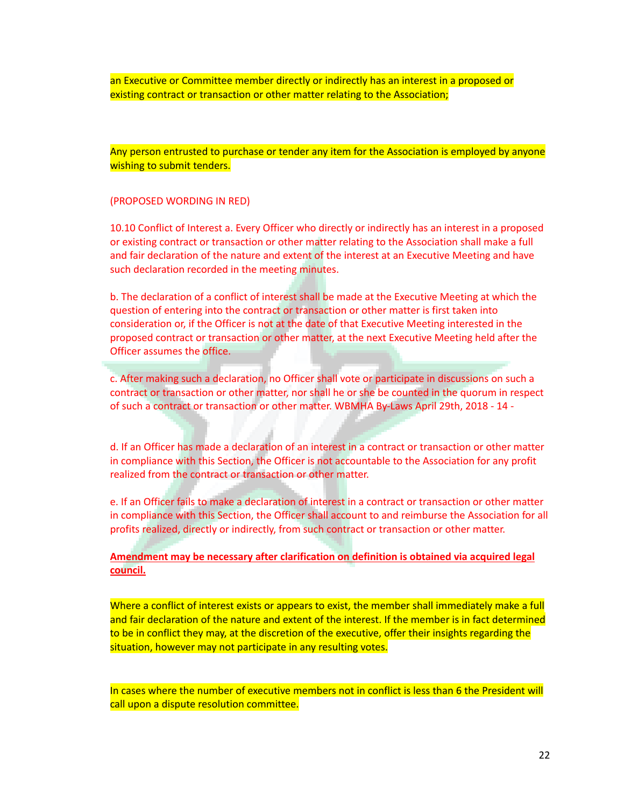an Executive or Committee member directly or indirectly has an interest in a proposed or existing contract or transaction or other matter relating to the Association;

Any person entrusted to purchase or tender any item for the Association is employed by anyone wishing to submit tenders.

(PROPOSED WORDING IN RED)

10.10 Conflict of Interest a. Every Officer who directly or indirectly has an interest in a proposed or existing contract or transaction or other matter relating to the Association shall make a full and fair declaration of the nature and extent of the interest at an Executive Meeting and have such declaration recorded in the meeting minutes.

b. The declaration of a conflict of interest shall be made at the Executive Meeting at which the question of entering into the contract or transaction or other matter is first taken into consideration or, if the Officer is not at the date of that Executive Meeting interested in the proposed contract or transaction or other matter, at the next Executive Meeting held after the Officer assumes the office.

c. After making such a declaration, no Officer shall vote or participate in discussions on such a contract or transaction or other matter, nor shall he or she be counted in the quorum in respect of such a contract or transaction or other matter. WBMHA By-Laws April 29th, 2018 - 14 -

d. If an Officer has made a declaration of an interest in a contract or transaction or other matter in compliance with this Section, the Officer is not accountable to the Association for any profit realized from the contract or transaction or other matter.

e. If an Officer fails to make a declaration of interest in a contract or transaction or other matter in compliance with this Section, the Officer shall account to and reimburse the Association for all profits realized, directly or indirectly, from such contract or transaction or other matter.

**Amendment may be necessary after clarification on definition is obtained via acquired legal council.**

Where a conflict of interest exists or appears to exist, the member shall immediately make a full and fair declaration of the nature and extent of the interest. If the member is in fact determined to be in conflict they may, at the discretion of the executive, offer their insights regarding the situation, however may not participate in any resulting votes.

In cases where the number of executive members not in conflict is less than 6 the President will call upon a dispute resolution committee.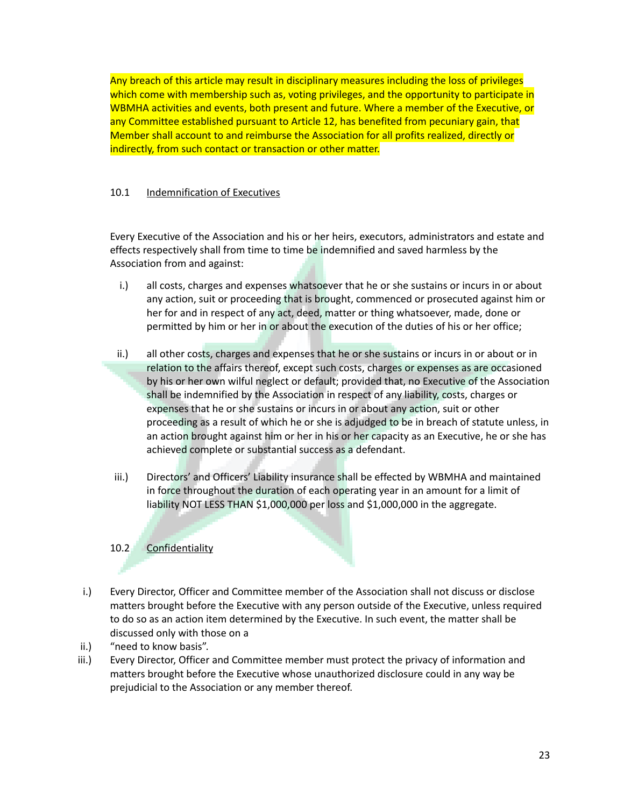Any breach of this article may result in disciplinary measures including the loss of privileges which come with membership such as, voting privileges, and the opportunity to participate in WBMHA activities and events, both present and future. Where a member of the Executive, or any Committee established pursuant to Article 12, has benefited from pecuniary gain, that Member shall account to and reimburse the Association for all profits realized, directly or indirectly, from such contact or transaction or other matter.

# 10.1 Indemnification of Executives

Every Executive of the Association and his or her heirs, executors, administrators and estate and effects respectively shall from time to time be indemnified and saved harmless by the Association from and against:

- i.) all costs, charges and expenses whatsoever that he or she sustains or incurs in or about any action, suit or proceeding that is brought, commenced or prosecuted against him or her for and in respect of any act, deed, matter or thing whatsoever, made, done or permitted by him or her in or about the execution of the duties of his or her office;
- ii.) all other costs, charges and expenses that he or she sustains or incurs in or about or in relation to the affairs thereof, except such costs, charges or expenses as are occasioned by his or her own wilful neglect or default; provided that, no Executive of the Association shall be indemnified by the Association in respect of any liability, costs, charges or expenses that he or she sustains or incurs in or about any action, suit or other proceeding as a result of which he or she is adjudged to be in breach of statute unless, in an action brought against him or her in his or her capacity as an Executive, he or she has achieved complete or substantial success as a defendant.
- iii.) Directors' and Officers' Liability insurance shall be effected by WBMHA and maintained in force throughout the duration of each operating year in an amount for a limit of liability NOT LESS THAN \$1,000,000 per loss and \$1,000,000 in the aggregate.

# 10.2 Confidentiality

- i.) Every Director, Officer and Committee member of the Association shall not discuss or disclose matters brought before the Executive with any person outside of the Executive, unless required to do so as an action item determined by the Executive. In such event, the matter shall be discussed only with those on a
- ii.) "need to know basis".
- iii.) Every Director, Officer and Committee member must protect the privacy of information and matters brought before the Executive whose unauthorized disclosure could in any way be prejudicial to the Association or any member thereof.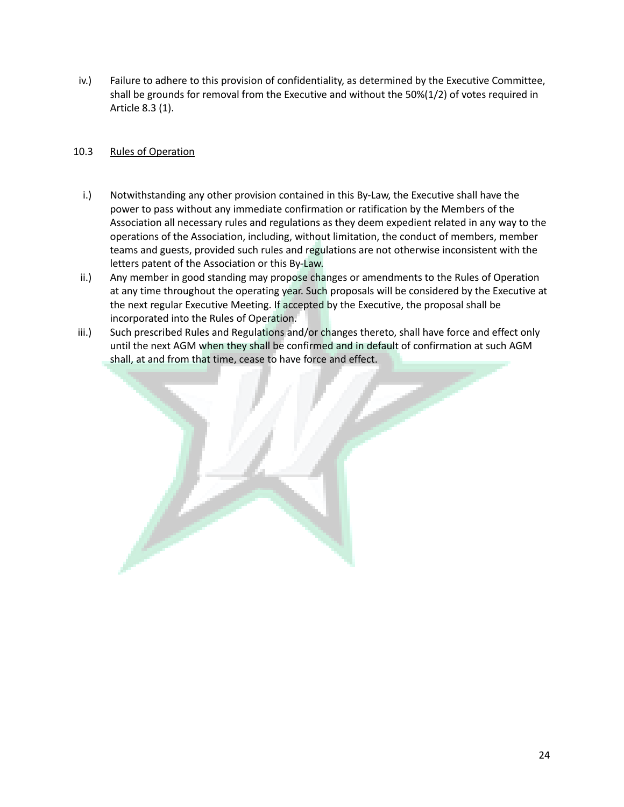iv.) Failure to adhere to this provision of confidentiality, as determined by the Executive Committee, shall be grounds for removal from the Executive and without the 50%(1/2) of votes required in Article 8.3 (1).

# 10.3 Rules of Operation

- i.) Notwithstanding any other provision contained in this By-Law, the Executive shall have the power to pass without any immediate confirmation or ratification by the Members of the Association all necessary rules and regulations as they deem expedient related in any way to the operations of the Association, including, without limitation, the conduct of members, member teams and guests, provided such rules and regulations are not otherwise inconsistent with the letters patent of the Association or this By-Law.
- ii.) Any member in good standing may propose changes or amendments to the Rules of Operation at any time throughout the operating year. Such proposals will be considered by the Executive at the next regular Executive Meeting. If accepted by the Executive, the proposal shall be incorporated into the Rules of Operation.
- iii.) Such prescribed Rules and Regulations and/or changes thereto, shall have force and effect only until the next AGM when they shall be confirmed and in default of confirmation at such AGM shall, at and from that time, cease to have force and effect.

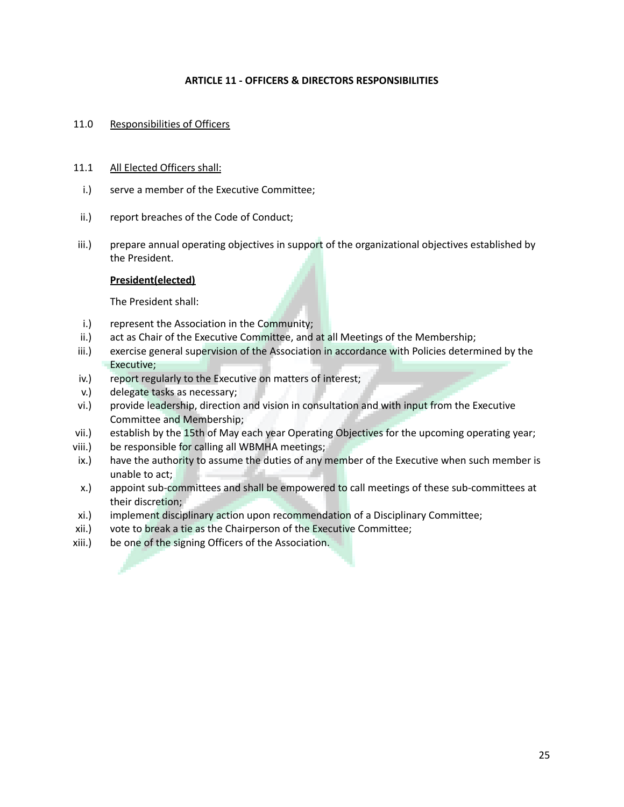#### **ARTICLE 11 - OFFICERS & DIRECTORS RESPONSIBILITIES**

#### 11.0 Responsibilities of Officers

#### 11.1 All Elected Officers shall:

- i.) serve a member of the Executive Committee;
- ii.) report breaches of the Code of Conduct;
- iii.) prepare annual operating objectives in support of the organizational objectives established by the President.

# **President(elected)**

The President shall:

- i.) represent the Association in the Community;
- ii.) act as Chair of the Executive Committee, and at all Meetings of the Membership;
- iii.) exercise general supervision of the Association in accordance with Policies determined by the Executive;
- iv.) report regularly to the Executive on matters of interest;
- v.) delegate tasks as necessary;
- vi.) provide leadership, direction and vision in consultation and with input from the Executive Committee and Membership;
- vii.) establish by the 15th of May each year Operating Objectives for the upcoming operating year;
- viii.) be responsible for calling all WBMHA meetings;
- ix.) have the authority to assume the duties of any member of the Executive when such member is unable to act;
- x.) appoint sub-committees and shall be empowered to call meetings of these sub-committees at their discretion;
- xi.) implement disciplinary action upon recommendation of a Disciplinary Committee;
- xii.) vote to break a tie as the Chairperson of the Executive Committee;
- xiii.) be one of the signing Officers of the Association.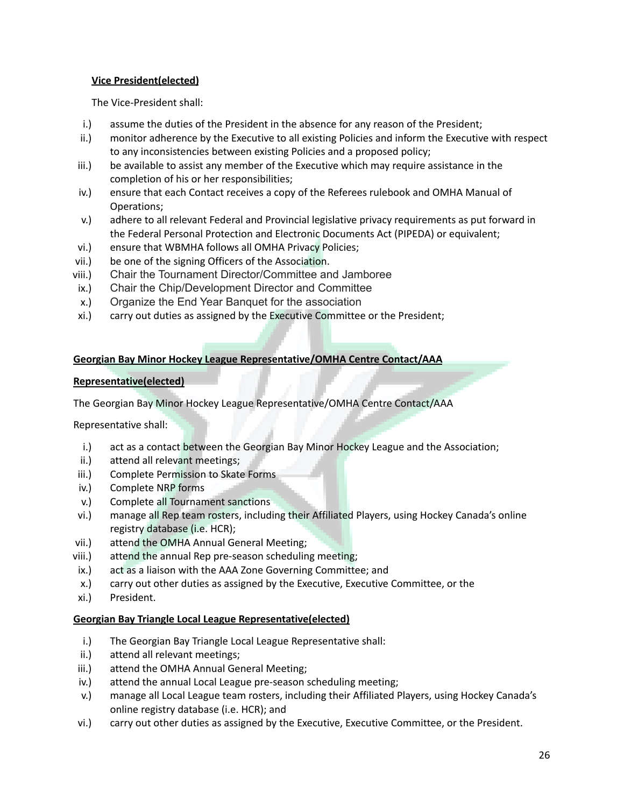# **Vice President(elected)**

The Vice-President shall:

- i.) assume the duties of the President in the absence for any reason of the President;
- ii.) monitor adherence by the Executive to all existing Policies and inform the Executive with respect to any inconsistencies between existing Policies and a proposed policy;
- iii.) be available to assist any member of the Executive which may require assistance in the completion of his or her responsibilities;
- iv.) ensure that each Contact receives a copy of the Referees rulebook and OMHA Manual of Operations;
- v.) adhere to all relevant Federal and Provincial legislative privacy requirements as put forward in the Federal Personal Protection and Electronic Documents Act (PIPEDA) or equivalent;
- vi.) ensure that WBMHA follows all OMHA Privacy Policies;
- vii.) be one of the signing Officers of the Association.
- viii.) Chair the Tournament Director/Committee and Jamboree
- ix.) Chair the Chip/Development Director and Committee
- x.) Organize the End Year Banquet for the association
- xi.) carry out duties as assigned by the Executive Committee or the President;

#### **Georgian Bay Minor Hockey League Representative/OMHA Centre Contact/AAA**

#### **Representative(elected)**

The Georgian Bay Minor Hockey League Representative/OMHA Centre Contact/AAA

Representative shall:

- i.) act as a contact between the Georgian Bay Minor Hockey League and the Association;
- ii.) attend all relevant meetings;
- iii.) Complete Permission to Skate Forms
- iv.) Complete NRP forms
- v.) Complete all Tournament sanctions
- vi.) manage all Rep team rosters, including their Affiliated Players, using Hockey Canada's online registry database (i.e. HCR);
- vii.) attend the OMHA Annual General Meeting;
- viii.) attend the annual Rep pre-season scheduling meeting;
- ix.) act as a liaison with the AAA Zone Governing Committee; and
- x.) carry out other duties as assigned by the Executive, Executive Committee, or the
- xi.) President.

#### **Georgian Bay Triangle Local League Representative(elected)**

- i.) The Georgian Bay Triangle Local League Representative shall:
- ii.) attend all relevant meetings;
- iii.) attend the OMHA Annual General Meeting;
- iv.) attend the annual Local League pre-season scheduling meeting;
- v.) manage all Local League team rosters, including their Affiliated Players, using Hockey Canada's online registry database (i.e. HCR); and
- vi.) carry out other duties as assigned by the Executive, Executive Committee, or the President.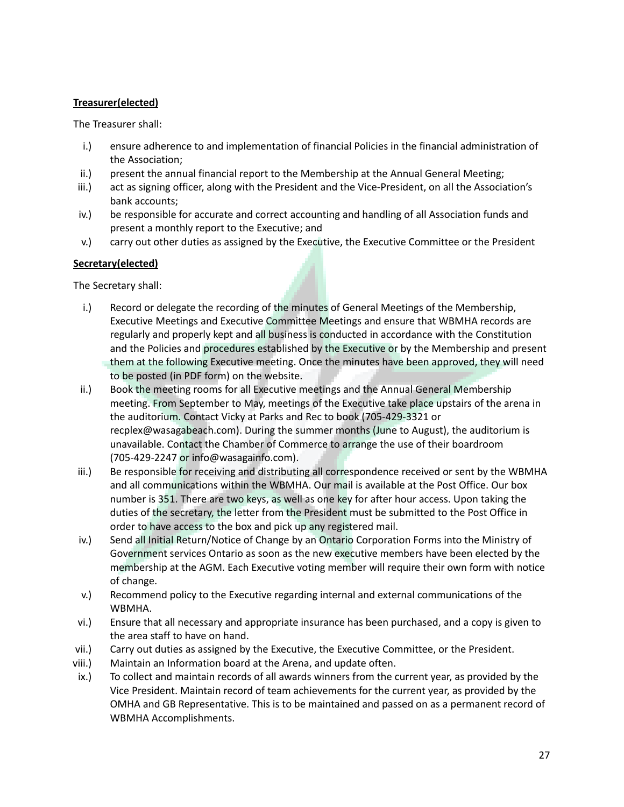# **Treasurer(elected)**

The Treasurer shall:

- i.) ensure adherence to and implementation of financial Policies in the financial administration of the Association;
- ii.) present the annual financial report to the Membership at the Annual General Meeting;
- iii.) act as signing officer, along with the President and the Vice-President, on all the Association's bank accounts;
- iv.) be responsible for accurate and correct accounting and handling of all Association funds and present a monthly report to the Executive; and
- v.) carry out other duties as assigned by the Executive, the Executive Committee or the President

# **Secretary(elected)**

The Secretary shall:

- i.) Record or delegate the recording of the minutes of General Meetings of the Membership, Executive Meetings and Executive Committee Meetings and ensure that WBMHA records are regularly and properly kept and all business is conducted in accordance with the Constitution and the Policies and procedures established by the Executive or by the Membership and present them at the following Executive meeting. Once the minutes have been approved, they will need to be posted (in PDF form) on the website.
- ii.) Book the meeting rooms for all Executive meetings and the Annual General Membership meeting. From September to May, meetings of the Executive take place upstairs of the arena in the auditorium. Contact Vicky at Parks and Rec to book (705-429-3321 or recplex@wasagabeach.com). During the summer months (June to August), the auditorium is unavailable. Contact the Chamber of Commerce to arrange the use of their boardroom (705-429-2247 or info@wasagainfo.com).
- iii.) Be responsible for receiving and distributing all correspondence received or sent by the WBMHA and all communications within the WBMHA. Our mail is available at the Post Office. Our box number is 351. There are two keys, as well as one key for after hour access. Upon taking the duties of the secretary, the letter from the President must be submitted to the Post Office in order to have access to the box and pick up any registered mail.
- iv.) Send all Initial Return/Notice of Change by an Ontario Corporation Forms into the Ministry of Government services Ontario as soon as the new executive members have been elected by the membership at the AGM. Each Executive voting member will require their own form with notice of change.
- v.) Recommend policy to the Executive regarding internal and external communications of the WBMHA.
- vi.) Ensure that all necessary and appropriate insurance has been purchased, and a copy is given to the area staff to have on hand.
- vii.) Carry out duties as assigned by the Executive, the Executive Committee, or the President.
- viii.) Maintain an Information board at the Arena, and update often.
- ix.) To collect and maintain records of all awards winners from the current year, as provided by the Vice President. Maintain record of team achievements for the current year, as provided by the OMHA and GB Representative. This is to be maintained and passed on as a permanent record of WBMHA Accomplishments.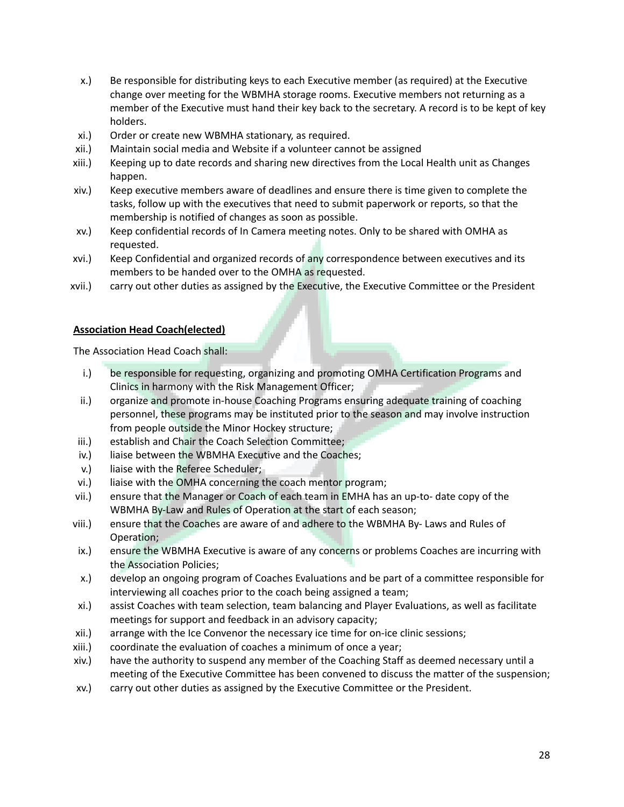- x.) Be responsible for distributing keys to each Executive member (as required) at the Executive change over meeting for the WBMHA storage rooms. Executive members not returning as a member of the Executive must hand their key back to the secretary. A record is to be kept of key holders.
- xi.) Order or create new WBMHA stationary, as required.
- xii.) Maintain social media and Website if a volunteer cannot be assigned
- xiii.) Keeping up to date records and sharing new directives from the Local Health unit as Changes happen.
- xiv.) Keep executive members aware of deadlines and ensure there is time given to complete the tasks, follow up with the executives that need to submit paperwork or reports, so that the membership is notified of changes as soon as possible.
- xv.) Keep confidential records of In Camera meeting notes. Only to be shared with OMHA as requested.
- xvi.) Keep Confidential and organized records of any correspondence between executives and its members to be handed over to the OMHA as requested.
- xvii.) carry out other duties as assigned by the Executive, the Executive Committee or the President

#### **Association Head Coach(elected)**

The Association Head Coach shall:

- i.) be responsible for requesting, organizing and promoting OMHA Certification Programs and Clinics in harmony with the Risk Management Officer;
- ii.) organize and promote in-house Coaching Programs ensuring adequate training of coaching personnel, these programs may be instituted prior to the season and may involve instruction from people outside the Minor Hockey structure;
- iii.) establish and Chair the Coach Selection Committee;
- iv.) liaise between the WBMHA Executive and the Coaches;
- v.) liaise with the Referee Scheduler;
- vi.) liaise with the OMHA concerning the coach mentor program;
- vii.) ensure that the Manager or Coach of each team in EMHA has an up-to- date copy of the WBMHA By-Law and Rules of Operation at the start of each season;
- viii.) ensure that the Coaches are aware of and adhere to the WBMHA By- Laws and Rules of Operation;
- ix.) ensure the WBMHA Executive is aware of any concerns or problems Coaches are incurring with the Association Policies;
- x.) develop an ongoing program of Coaches Evaluations and be part of a committee responsible for interviewing all coaches prior to the coach being assigned a team;
- xi.) assist Coaches with team selection, team balancing and Player Evaluations, as well as facilitate meetings for support and feedback in an advisory capacity;
- xii.) arrange with the Ice Convenor the necessary ice time for on-ice clinic sessions;
- xiii.) coordinate the evaluation of coaches a minimum of once a year;
- xiv.) have the authority to suspend any member of the Coaching Staff as deemed necessary until a meeting of the Executive Committee has been convened to discuss the matter of the suspension;
- xv.) carry out other duties as assigned by the Executive Committee or the President.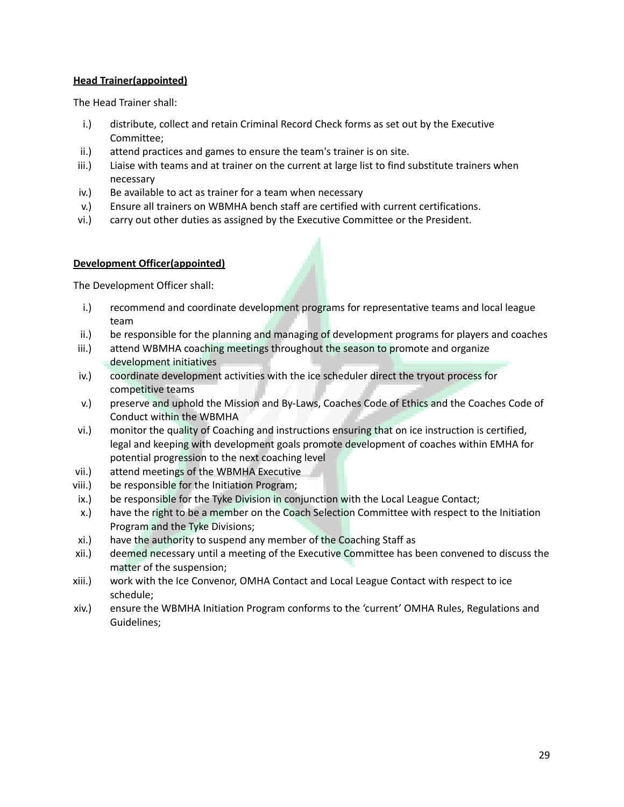## **Head Trainer(appointed)**

The Head Trainer shall:

- i.) distribute, collect and retain Criminal Record Check forms as set out by the Executive Committee;
- ii.) attend practices and games to ensure the team's trainer is on site.
- iii.) Liaise with teams and at trainer on the current at large list to find substitute trainers when necessary
- iv.) Be available to act as trainer for a team when necessary
- v.) Ensure all trainers on WBMHA bench staff are certified with current certifications.
- vi.) carry out other duties as assigned by the Executive Committee or the President.

#### **Development Officer(appointed)**

The Development Officer shall:

- i.) recommend and coordinate development programs for representative teams and local league team
- ii.) be responsible for the planning and managing of development programs for players and coaches
- iii.) attend WBMHA coaching meetings throughout the season to promote and organize development initiatives
- iv.) coordinate development activities with the ice scheduler direct the tryout process for competitive teams
- v.) preserve and uphold the Mission and By-Laws, Coaches Code of Ethics and the Coaches Code of Conduct within the WBMHA
- vi.) monitor the quality of Coaching and instructions ensuring that on ice instruction is certified, legal and keeping with development goals promote development of coaches within EMHA for potential progression to the next coaching level
- vii.) attend meetings of the WBMHA Executive
- viii.) be responsible for the Initiation Program;
- ix.) be responsible for the Tyke Division in conjunction with the Local League Contact;
- x.) have the right to be a member on the Coach Selection Committee with respect to the Initiation Program and the Tyke Divisions;
- xi.) have the authority to suspend any member of the Coaching Staff as
- xii.) deemed necessary until a meeting of the Executive Committee has been convened to discuss the matter of the suspension;
- xiii.) work with the Ice Convenor, OMHA Contact and Local League Contact with respect to ice schedule;
- xiv.) ensure the WBMHA Initiation Program conforms to the 'current' OMHA Rules, Regulations and Guidelines;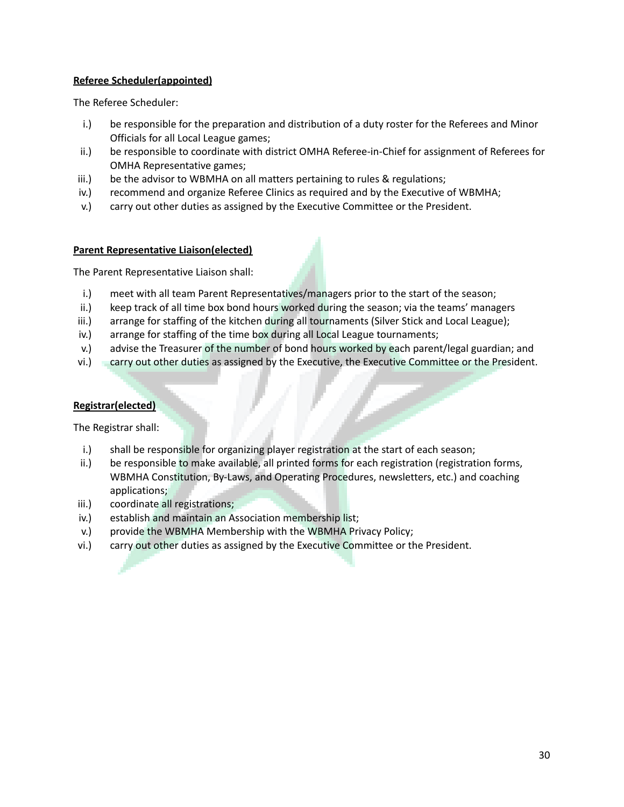## **Referee Scheduler(appointed)**

The Referee Scheduler:

- i.) be responsible for the preparation and distribution of a duty roster for the Referees and Minor Officials for all Local League games;
- ii.) be responsible to coordinate with district OMHA Referee-in-Chief for assignment of Referees for OMHA Representative games;
- iii.) be the advisor to WBMHA on all matters pertaining to rules & regulations;
- iv.) recommend and organize Referee Clinics as required and by the Executive of WBMHA;
- v.) carry out other duties as assigned by the Executive Committee or the President.

#### **Parent Representative Liaison(elected)**

The Parent Representative Liaison shall:

- i.) meet with all team Parent Representatives/managers prior to the start of the season;
- ii.) keep track of all time box bond hours worked during the season; via the teams' managers
- iii.) arrange for staffing of the kitchen during all tournaments (Silver Stick and Local League);
- iv.) arrange for staffing of the time box during all Local League tournaments;
- v.) advise the Treasurer of the number of bond hours worked by each parent/legal guardian; and
- vi.) carry out other duties as assigned by the Executive, the Executive Committee or the President.

## **Registrar(elected)**

The Registrar shall:

- i.) shall be responsible for organizing player registration at the start of each season;
- ii.) be responsible to make available, all printed forms for each registration (registration forms, WBMHA Constitution, By-Laws, and Operating Procedures, newsletters, etc.) and coaching applications;
- iii.) coordinate all registrations;
- iv.) establish and maintain an Association membership list;
- v.) provide the WBMHA Membership with the WBMHA Privacy Policy;
- vi.) carry out other duties as assigned by the Executive Committee or the President.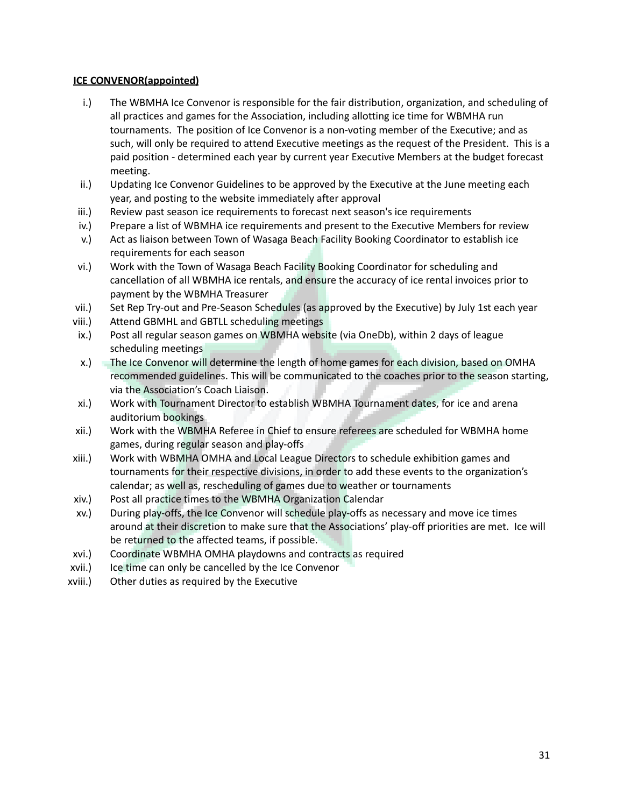# **ICE CONVENOR(appointed)**

- i.) The WBMHA Ice Convenor is responsible for the fair distribution, organization, and scheduling of all practices and games for the Association, including allotting ice time for WBMHA run tournaments. The position of Ice Convenor is a non-voting member of the Executive; and as such, will only be required to attend Executive meetings as the request of the President. This is a paid position - determined each year by current year Executive Members at the budget forecast meeting.
- ii.) Updating Ice Convenor Guidelines to be approved by the Executive at the June meeting each year, and posting to the website immediately after approval
- iii.) Review past season ice requirements to forecast next season's ice requirements
- iv.) Prepare a list of WBMHA ice requirements and present to the Executive Members for review
- v.) Act as liaison between Town of Wasaga Beach Facility Booking Coordinator to establish ice requirements for each season
- vi.) Work with the Town of Wasaga Beach Facility Booking Coordinator for scheduling and cancellation of all WBMHA ice rentals, and ensure the accuracy of ice rental invoices prior to payment by the WBMHA Treasurer
- vii.) Set Rep Try-out and Pre-Season Schedules (as approved by the Executive) by July 1st each year
- viii.) Attend GBMHL and GBTLL scheduling meetings
- ix.) Post all regular season games on WBMHA website (via OneDb), within 2 days of league scheduling meetings
- x.) The Ice Convenor will determine the length of home games for each division, based on OMHA recommended guidelines. This will be communicated to the coaches prior to the season starting, via the Association's Coach Liaison.
- xi.) Work with Tournament Director to establish WBMHA Tournament dates, for ice and arena auditorium bookings
- xii.) Work with the WBMHA Referee in Chief to ensure referees are scheduled for WBMHA home games, during regular season and play-offs
- xiii.) Work with WBMHA OMHA and Local League Directors to schedule exhibition games and tournaments for their respective divisions, in order to add these events to the organization's calendar; as well as, rescheduling of games due to weather or tournaments
- xiv.) Post all practice times to the WBMHA Organization Calendar
- xv.) During play-offs, the Ice Convenor will schedule play-offs as necessary and move ice times around at their discretion to make sure that the Associations' play-off priorities are met. Ice will be returned to the affected teams, if possible.
- xvi.) Coordinate WBMHA OMHA playdowns and contracts as required
- xvii.) Ice time can only be cancelled by the Ice Convenor
- xviii.) Other duties as required by the Executive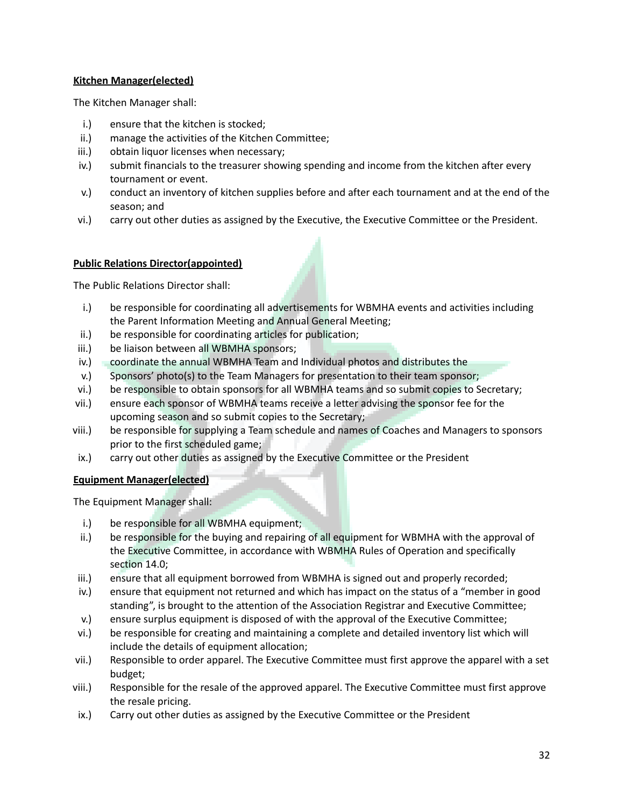# **Kitchen Manager(elected)**

The Kitchen Manager shall:

- i.) ensure that the kitchen is stocked;
- ii.) manage the activities of the Kitchen Committee;
- iii.) obtain liquor licenses when necessary;
- iv.) submit financials to the treasurer showing spending and income from the kitchen after every tournament or event.
- v.) conduct an inventory of kitchen supplies before and after each tournament and at the end of the season; and
- vi.) carry out other duties as assigned by the Executive, the Executive Committee or the President.

# **Public Relations Director(appointed)**

The Public Relations Director shall:

- i.) be responsible for coordinating all advertisements for WBMHA events and activities including the Parent Information Meeting and Annual General Meeting;
- ii.) be responsible for coordinating articles for publication;
- iii.) be liaison between all WBMHA sponsors;
- iv.) coordinate the annual WBMHA Team and Individual photos and distributes the
- v.) Sponsors' photo(s) to the Team Managers for presentation to their team sponsor;
- vi.) be responsible to obtain sponsors for all WBMHA teams and so submit copies to Secretary;
- vii.) ensure each sponsor of WBMHA teams receive a letter advising the sponsor fee for the upcoming season and so submit copies to the Secretary;
- viii.) be responsible for supplying a Team schedule and names of Coaches and Managers to sponsors prior to the first scheduled game;
- ix.) carry out other duties as assigned by the Executive Committee or the President

#### **Equipment Manager(elected)**

The Equipment Manager shall:

- i.) be responsible for all WBMHA equipment;
- ii.) be responsible for the buying and repairing of all equipment for WBMHA with the approval of the Executive Committee, in accordance with WBMHA Rules of Operation and specifically section 14.0;
- iii.) ensure that all equipment borrowed from WBMHA is signed out and properly recorded;
- iv.) ensure that equipment not returned and which has impact on the status of a "member in good standing", is brought to the attention of the Association Registrar and Executive Committee;
- v.) ensure surplus equipment is disposed of with the approval of the Executive Committee;
- vi.) be responsible for creating and maintaining a complete and detailed inventory list which will include the details of equipment allocation;
- vii.) Responsible to order apparel. The Executive Committee must first approve the apparel with a set budget;
- viii.) Responsible for the resale of the approved apparel. The Executive Committee must first approve the resale pricing.
- ix.) Carry out other duties as assigned by the Executive Committee or the President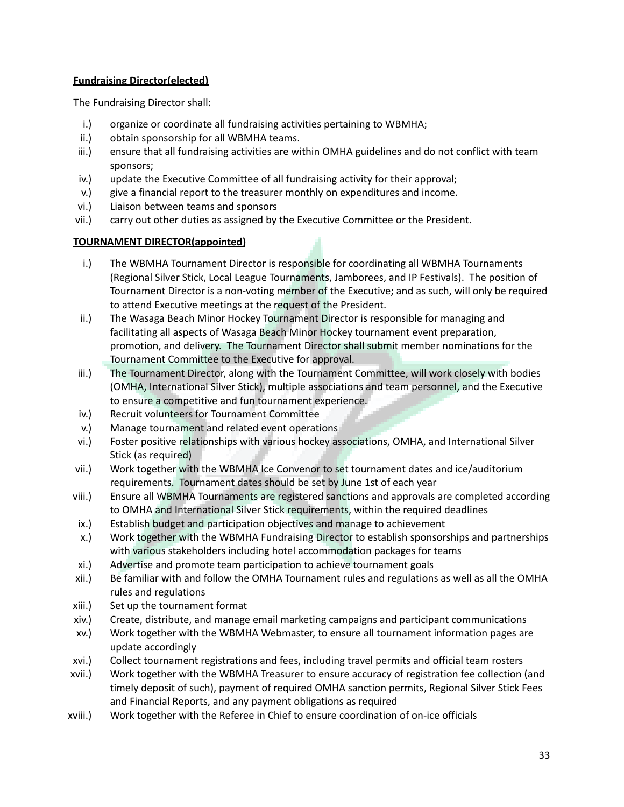# **Fundraising Director(elected)**

The Fundraising Director shall:

- i.) organize or coordinate all fundraising activities pertaining to WBMHA;
- ii.) obtain sponsorship for all WBMHA teams.
- iii.) ensure that all fundraising activities are within OMHA guidelines and do not conflict with team sponsors;
- iv.) update the Executive Committee of all fundraising activity for their approval;
- v.) give a financial report to the treasurer monthly on expenditures and income.
- vi.) Liaison between teams and sponsors
- vii.) carry out other duties as assigned by the Executive Committee or the President.

# **TOURNAMENT DIRECTOR(appointed)**

- i.) The WBMHA Tournament Director is responsible for coordinating all WBMHA Tournaments (Regional Silver Stick, Local League Tournaments, Jamborees, and IP Festivals). The position of Tournament Director is a non-voting member of the Executive; and as such, will only be required to attend Executive meetings at the request of the President.
- ii.) The Wasaga Beach Minor Hockey Tournament Director is responsible for managing and facilitating all aspects of Wasaga Beach Minor Hockey tournament event preparation, promotion, and delivery. The Tournament Director shall submit member nominations for the Tournament Committee to the Executive for approval.
- iii.) The Tournament Director, along with the Tournament Committee, will work closely with bodies (OMHA, International Silver Stick), multiple associations and team personnel, and the Executive to ensure a competitive and fun tournament experience.
- iv.) Recruit volunteers for Tournament Committee
- v.) Manage tournament and related event operations
- vi.) Foster positive relationships with various hockey associations, OMHA, and International Silver Stick (as required)
- vii.) Work together with the WBMHA Ice Convenor to set tournament dates and ice/auditorium requirements. Tournament dates should be set by June 1st of each year
- viii.) Ensure all WBMHA Tournaments are registered sanctions and approvals are completed according to OMHA and International Silver Stick requirements, within the required deadlines
- ix.) Establish budget and participation objectives and manage to achievement
- x.) Work together with the WBMHA Fundraising Director to establish sponsorships and partnerships with various stakeholders including hotel accommodation packages for teams
- xi.) Advertise and promote team participation to achieve tournament goals
- xii.) Be familiar with and follow the OMHA Tournament rules and regulations as well as all the OMHA rules and regulations
- xiii.) Set up the tournament format
- xiv.) Create, distribute, and manage email marketing campaigns and participant communications
- xv.) Work together with the WBMHA Webmaster, to ensure all tournament information pages are update accordingly
- xvi.) Collect tournament registrations and fees, including travel permits and official team rosters
- xvii.) Work together with the WBMHA Treasurer to ensure accuracy of registration fee collection (and timely deposit of such), payment of required OMHA sanction permits, Regional Silver Stick Fees and Financial Reports, and any payment obligations as required
- xviii.) Work together with the Referee in Chief to ensure coordination of on-ice officials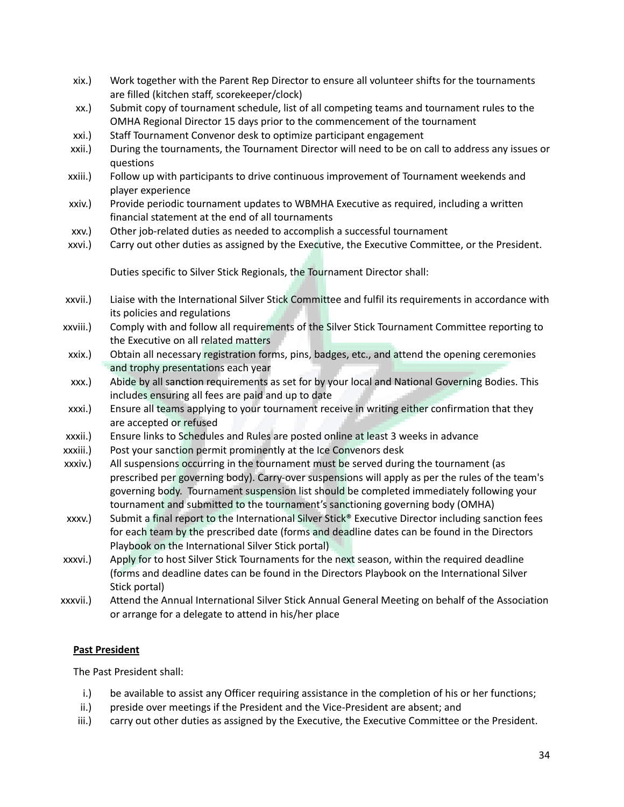- xix.) Work together with the Parent Rep Director to ensure all volunteer shifts for the tournaments are filled (kitchen staff, scorekeeper/clock)
- xx.) Submit copy of tournament schedule, list of all competing teams and tournament rules to the OMHA Regional Director 15 days prior to the commencement of the tournament
- xxi.) Staff Tournament Convenor desk to optimize participant engagement
- xxii.) During the tournaments, the Tournament Director will need to be on call to address any issues or questions
- xxiii.) Follow up with participants to drive continuous improvement of Tournament weekends and player experience
- xxiv.) Provide periodic tournament updates to WBMHA Executive as required, including a written financial statement at the end of all tournaments
- xxv.) Other job-related duties as needed to accomplish a successful tournament
- xxvi.) Carry out other duties as assigned by the Executive, the Executive Committee, or the President.

Duties specific to Silver Stick Regionals, the Tournament Director shall:

- xxvii.) Liaise with the International Silver Stick Committee and fulfil its requirements in accordance with its policies and regulations
- xxviii.) Comply with and follow all requirements of the Silver Stick Tournament Committee reporting to the Executive on all related matters
- xxix.) Obtain all necessary registration forms, pins, badges, etc., and attend the opening ceremonies and trophy presentations each year
- xxx.) Abide by all sanction requirements as set for by your local and National Governing Bodies. This includes ensuring all fees are paid and up to date
- xxxi.) Ensure all teams applying to your tournament receive in writing either confirmation that they are accepted or refused
- xxxii.) Ensure links to Schedules and Rules are posted online at least 3 weeks in advance
- xxxiii.) Post your sanction permit prominently at the Ice Convenors desk
- xxxiv.) All suspensions occurring in the tournament must be served during the tournament (as prescribed per governing body). Carry-over suspensions will apply as per the rules of the team's governing body. Tournament suspension list should be completed immediately following your tournament and submitted to the tournament's sanctioning governing body (OMHA)
- xxxv.) Submit a final report to the International Silver Stick® Executive Director including sanction fees for each team by the prescribed date (forms and deadline dates can be found in the Directors Playbook on the International Silver Stick portal)
- xxxvi.) Apply for to host Silver Stick Tournaments for the next season, within the required deadline (forms and deadline dates can be found in the Directors Playbook on the International Silver Stick portal)
- xxxvii.) Attend the Annual International Silver Stick Annual General Meeting on behalf of the Association or arrange for a delegate to attend in his/her place

# **Past President**

The Past President shall:

- i.) be available to assist any Officer requiring assistance in the completion of his or her functions;
- ii.) preside over meetings if the President and the Vice-President are absent; and
- iii.) carry out other duties as assigned by the Executive, the Executive Committee or the President.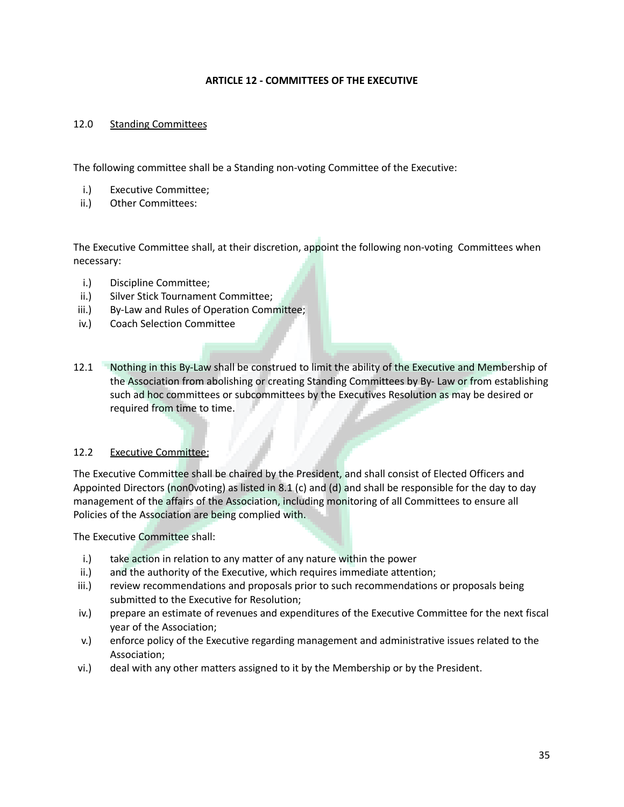#### **ARTICLE 12 - COMMITTEES OF THE EXECUTIVE**

#### 12.0 Standing Committees

The following committee shall be a Standing non-voting Committee of the Executive:

- i.) Executive Committee;
- ii.) Other Committees:

The Executive Committee shall, at their discretion, appoint the following non-voting Committees when necessary:

- i.) Discipline Committee;
- ii.) Silver Stick Tournament Committee;
- iii.) By-Law and Rules of Operation Committee;
- iv.) Coach Selection Committee
- 12.1 Nothing in this By-Law shall be construed to limit the ability of the Executive and Membership of the Association from abolishing or creating Standing Committees by By- Law or from establishing such ad hoc committees or subcommittees by the Executives Resolution as may be desired or required from time to time.

#### 12.2 Executive Committee:

The Executive Committee shall be chaired by the President, and shall consist of Elected Officers and Appointed Directors (non0voting) as listed in 8.1 (c) and (d) and shall be responsible for the day to day management of the affairs of the Association, including monitoring of all Committees to ensure all Policies of the Association are being complied with.

The Executive Committee shall:

- i.) take action in relation to any matter of any nature within the power
- ii.) and the authority of the Executive, which requires immediate attention;
- iii.) review recommendations and proposals prior to such recommendations or proposals being submitted to the Executive for Resolution;
- iv.) prepare an estimate of revenues and expenditures of the Executive Committee for the next fiscal year of the Association;
- v.) enforce policy of the Executive regarding management and administrative issues related to the Association;
- vi.) deal with any other matters assigned to it by the Membership or by the President.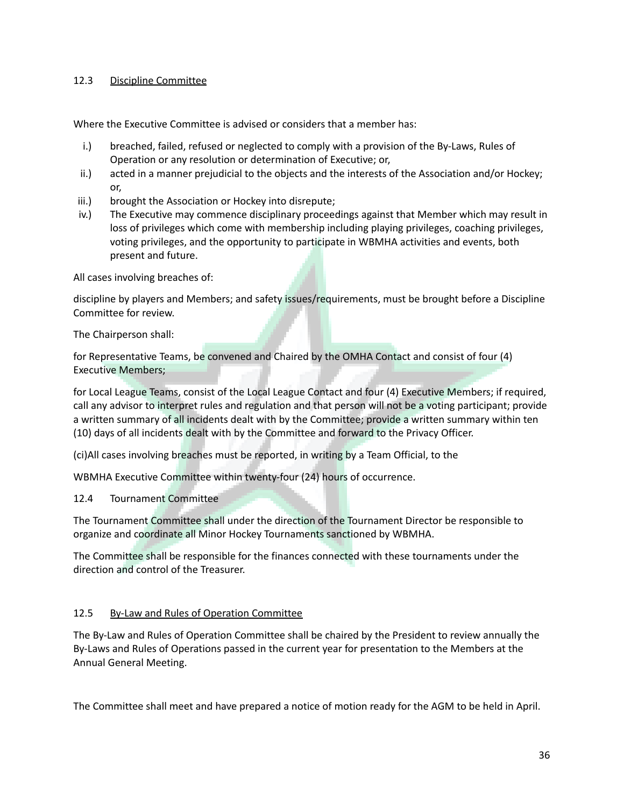# 12.3 Discipline Committee

Where the Executive Committee is advised or considers that a member has:

- i.) breached, failed, refused or neglected to comply with a provision of the By-Laws, Rules of Operation or any resolution or determination of Executive; or,
- ii.) acted in a manner prejudicial to the objects and the interests of the Association and/or Hockey; or,
- iii.) brought the Association or Hockey into disrepute;
- iv.) The Executive may commence disciplinary proceedings against that Member which may result in loss of privileges which come with membership including playing privileges, coaching privileges, voting privileges, and the opportunity to participate in WBMHA activities and events, both present and future.

All cases involving breaches of:

discipline by players and Members; and safety issues/requirements, must be brought before a Discipline Committee for review.

The Chairperson shall:

for Representative Teams, be convened and Chaired by the OMHA Contact and consist of four (4) Executive Members;

for Local League Teams, consist of the Local League Contact and four (4) Executive Members; if required, call any advisor to interpret rules and regulation and that person will not be a voting participant; provide a written summary of all incidents dealt with by the Committee; provide a written summary within ten (10) days of all incidents dealt with by the Committee and forward to the Privacy Officer.

(ci)All cases involving breaches must be reported, in writing by a Team Official, to the

WBMHA Executive Committee within twenty-four (24) hours of occurrence.

12.4 Tournament Committee

The Tournament Committee shall under the direction of the Tournament Director be responsible to organize and coordinate all Minor Hockey Tournaments sanctioned by WBMHA.

The Committee shall be responsible for the finances connected with these tournaments under the direction and control of the Treasurer.

# 12.5 By-Law and Rules of Operation Committee

The By-Law and Rules of Operation Committee shall be chaired by the President to review annually the By-Laws and Rules of Operations passed in the current year for presentation to the Members at the Annual General Meeting.

The Committee shall meet and have prepared a notice of motion ready for the AGM to be held in April.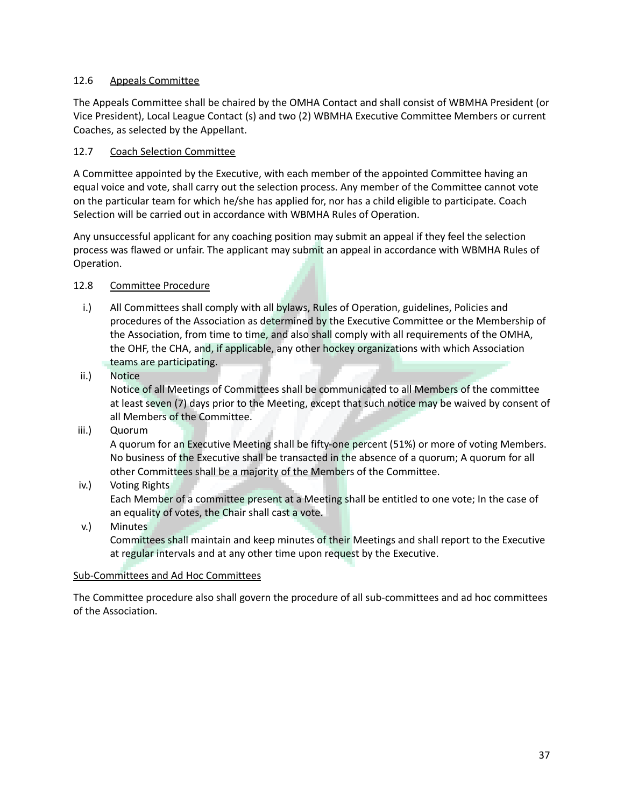# 12.6 Appeals Committee

The Appeals Committee shall be chaired by the OMHA Contact and shall consist of WBMHA President (or Vice President), Local League Contact (s) and two (2) WBMHA Executive Committee Members or current Coaches, as selected by the Appellant.

# 12.7 Coach Selection Committee

A Committee appointed by the Executive, with each member of the appointed Committee having an equal voice and vote, shall carry out the selection process. Any member of the Committee cannot vote on the particular team for which he/she has applied for, nor has a child eligible to participate. Coach Selection will be carried out in accordance with WBMHA Rules of Operation.

Any unsuccessful applicant for any coaching position may submit an appeal if they feel the selection process was flawed or unfair. The applicant may submit an appeal in accordance with WBMHA Rules of Operation.

# 12.8 Committee Procedure

- i.) All Committees shall comply with all bylaws, Rules of Operation, guidelines, Policies and procedures of the Association as determined by the Executive Committee or the Membership of the Association, from time to time, and also shall comply with all requirements of the OMHA, the OHF, the CHA, and, if applicable, any other hockey organizations with which Association teams are participating.
- ii.) Notice

Notice of all Meetings of Committees shall be communicated to all Members of the committee at least seven (7) days prior to the Meeting, except that such notice may be waived by consent of all Members of the Committee.

iii.) Quorum

A quorum for an Executive Meeting shall be fifty-one percent (51%) or more of voting Members. No business of the Executive shall be transacted in the absence of a quorum; A quorum for all other Committees shall be a majority of the Members of the Committee.

iv.) Voting Rights

Each Member of a committee present at a Meeting shall be entitled to one vote; In the case of an equality of votes, the Chair shall cast a vote.

v.) Minutes Committees shall maintain and keep minutes of their Meetings and shall report to the Executive at regular intervals and at any other time upon request by the Executive.

#### Sub-Committees and Ad Hoc Committees

The Committee procedure also shall govern the procedure of all sub-committees and ad hoc committees of the Association.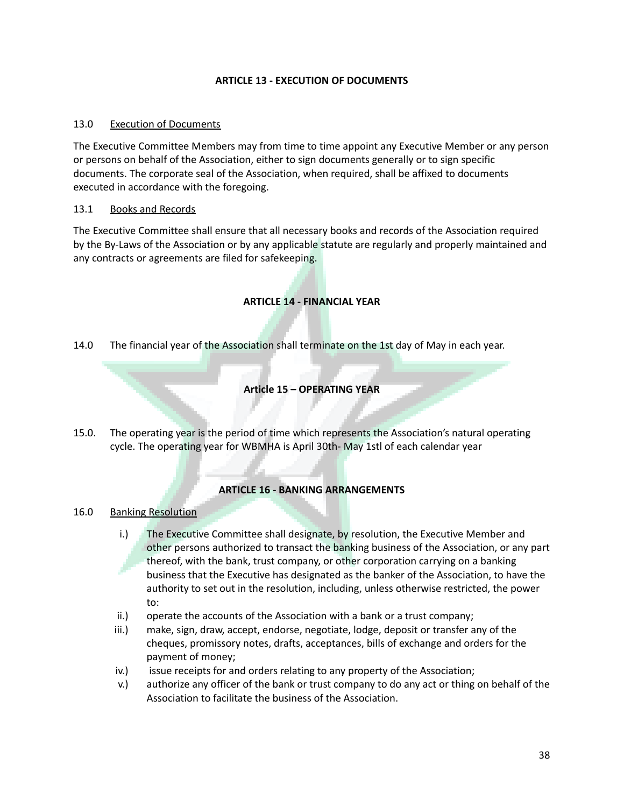# **ARTICLE 13 - EXECUTION OF DOCUMENTS**

## 13.0 Execution of Documents

The Executive Committee Members may from time to time appoint any Executive Member or any person or persons on behalf of the Association, either to sign documents generally or to sign specific documents. The corporate seal of the Association, when required, shall be affixed to documents executed in accordance with the foregoing.

# 13.1 Books and Records

The Executive Committee shall ensure that all necessary books and records of the Association required by the By-Laws of the Association or by any applicable statute are regularly and properly maintained and any contracts or agreements are filed for safekeeping.

# **ARTICLE 14 - FINANCIAL YEAR**

14.0 The financial year of the Association shall terminate on the 1st day of May in each year.

#### **Article 15 – OPERATING YEAR**

15.0. The operating year is the period of time which represents the Association's natural operating cycle. The operating year for WBMHA is April 30th- May 1stl of each calendar year

# **ARTICLE 16 - BANKING ARRANGEMENTS**

16.0 Banking Resolution

- i.) The Executive Committee shall designate, by resolution, the Executive Member and other persons authorized to transact the banking business of the Association, or any part thereof, with the bank, trust company, or other corporation carrying on a banking business that the Executive has designated as the banker of the Association, to have the authority to set out in the resolution, including, unless otherwise restricted, the power to:
- ii.) operate the accounts of the Association with a bank or a trust company;
- iii.) make, sign, draw, accept, endorse, negotiate, lodge, deposit or transfer any of the cheques, promissory notes, drafts, acceptances, bills of exchange and orders for the payment of money;
- iv.) issue receipts for and orders relating to any property of the Association;
- v.) authorize any officer of the bank or trust company to do any act or thing on behalf of the Association to facilitate the business of the Association.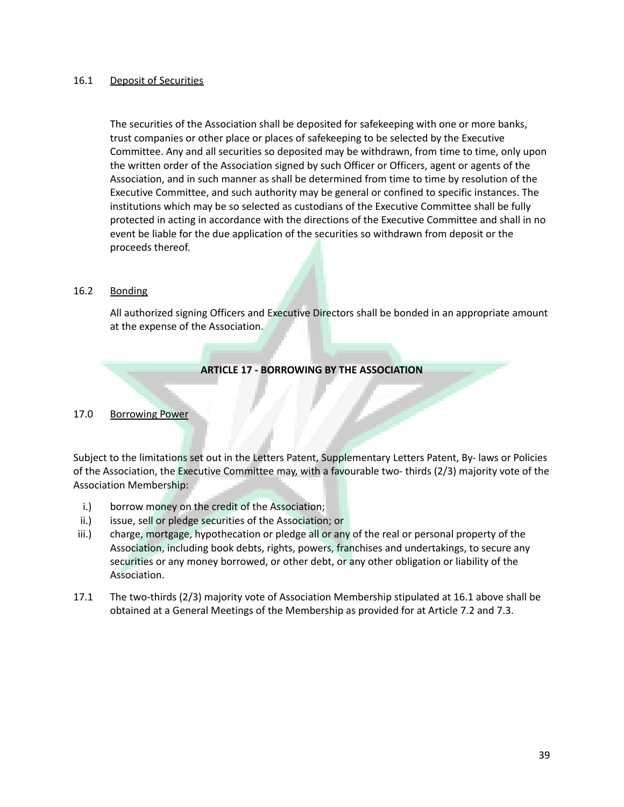#### 16.1 Deposit of Securities

The securities of the Association shall be deposited for safekeeping with one or more banks, trust companies or other place or places of safekeeping to be selected by the Executive Committee. Any and all securities so deposited may be withdrawn, from time to time, only upon the written order of the Association signed by such Officer or Officers, agent or agents of the Association, and in such manner as shall be determined from time to time by resolution of the Executive Committee, and such authority may be general or confined to specific instances. The institutions which may be so selected as custodians of the Executive Committee shall be fully protected in acting in accordance with the directions of the Executive Committee and shall in no event be liable for the due application of the securities so withdrawn from deposit or the proceeds thereof.

#### 16.2 Bonding

All authorized signing Officers and Executive Directors shall be bonded in an appropriate amount at the expense of the Association.

**ARTICLE 17 - BORROWING BY THE ASSOCIATION**

#### 17.0 Borrowing Power

Subject to the limitations set out in the Letters Patent, Supplementary Letters Patent, By- laws or Policies of the Association, the Executive Committee may, with a favourable two- thirds (2/3) majority vote of the Association Membership:

- i.) borrow money on the credit of the Association;
- ii.) issue, sell or pledge securities of the Association; or
- iii.) charge, mortgage, hypothecation or pledge all or any of the real or personal property of the Association, including book debts, rights, powers, franchises and undertakings, to secure any securities or any money borrowed, or other debt, or any other obligation or liability of the Association.
- 17.1 The two-thirds (2/3) majority vote of Association Membership stipulated at 16.1 above shall be obtained at a General Meetings of the Membership as provided for at Article 7.2 and 7.3.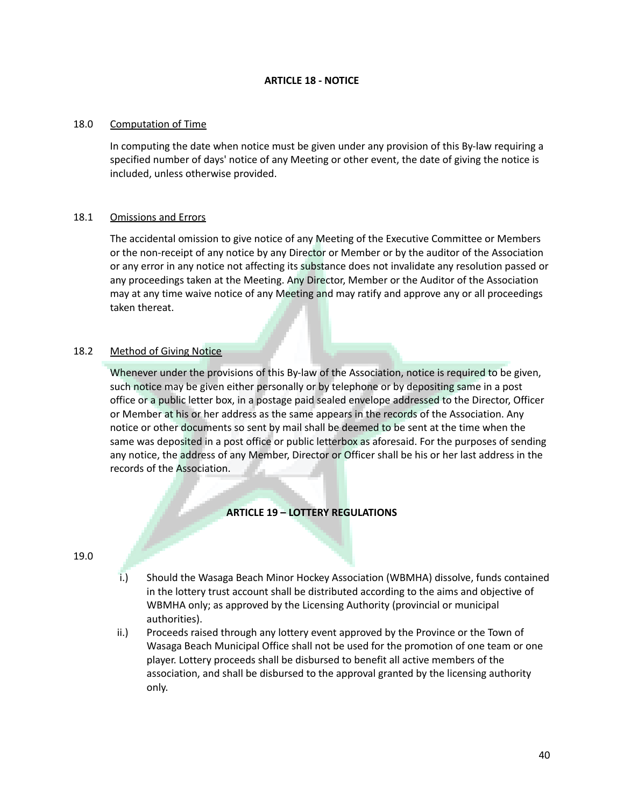#### **ARTICLE 18 - NOTICE**

#### 18.0 Computation of Time

In computing the date when notice must be given under any provision of this By-law requiring a specified number of days' notice of any Meeting or other event, the date of giving the notice is included, unless otherwise provided.

#### 18.1 Omissions and Errors

The accidental omission to give notice of any Meeting of the Executive Committee or Members or the non-receipt of any notice by any Director or Member or by the auditor of the Association or any error in any notice not affecting its substance does not invalidate any resolution passed or any proceedings taken at the Meeting. Any Director, Member or the Auditor of the Association may at any time waive notice of any Meeting and may ratify and approve any or all proceedings taken thereat.

# 18.2 Method of Giving Notice

Whenever under the provisions of this By-law of the Association, notice is required to be given, such notice may be given either personally or by telephone or by depositing same in a post office or a public letter box, in a postage paid sealed envelope addressed to the Director, Officer or Member at his or her address as the same appears in the records of the Association. Any notice or other documents so sent by mail shall be deemed to be sent at the time when the same was deposited in a post office or public letterbox as aforesaid. For the purposes of sending any notice, the address of any Member, Director or Officer shall be his or her last address in the records of the Association.

# **ARTICLE 19 – LOTTERY REGULATIONS**

19.0

- i.) Should the Wasaga Beach Minor Hockey Association (WBMHA) dissolve, funds contained in the lottery trust account shall be distributed according to the aims and objective of WBMHA only; as approved by the Licensing Authority (provincial or municipal authorities).
- ii.) Proceeds raised through any lottery event approved by the Province or the Town of Wasaga Beach Municipal Office shall not be used for the promotion of one team or one player. Lottery proceeds shall be disbursed to benefit all active members of the association, and shall be disbursed to the approval granted by the licensing authority only.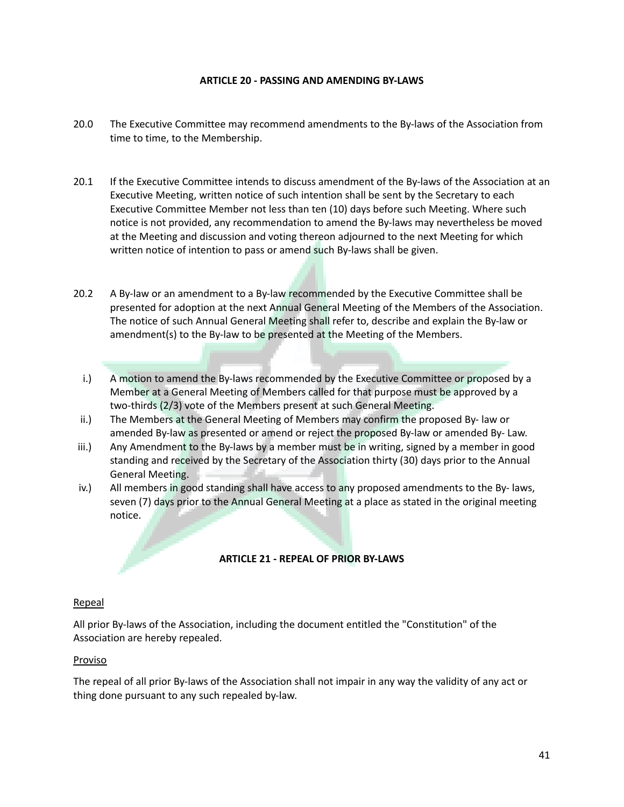#### **ARTICLE 20 - PASSING AND AMENDING BY-LAWS**

- 20.0 The Executive Committee may recommend amendments to the By-laws of the Association from time to time, to the Membership.
- 20.1 If the Executive Committee intends to discuss amendment of the By-laws of the Association at an Executive Meeting, written notice of such intention shall be sent by the Secretary to each Executive Committee Member not less than ten (10) days before such Meeting. Where such notice is not provided, any recommendation to amend the By-laws may nevertheless be moved at the Meeting and discussion and voting thereon adjourned to the next Meeting for which written notice of intention to pass or amend such By-laws shall be given.
- 20.2 A By-law or an amendment to a By-law recommended by the Executive Committee shall be presented for adoption at the next Annual General Meeting of the Members of the Association. The notice of such Annual General Meeting shall refer to, describe and explain the By-law or amendment(s) to the By-law to be presented at the Meeting of the Members.
	- i.) A motion to amend the By-laws recommended by the Executive Committee or proposed by a Member at a General Meeting of Members called for that purpose must be approved by a two-thirds (2/3) vote of the Members present at such General Meeting.
- ii.) The Members at the General Meeting of Members may confirm the proposed By- law or amended By-law as presented or amend or reject the proposed By-law or amended By- Law.
- iii.) Any Amendment to the By-laws by a member must be in writing, signed by a member in good standing and received by the Secretary of the Association thirty (30) days prior to the Annual General Meeting.
- iv.) All members in good standing shall have access to any proposed amendments to the By- laws, seven (7) days prior to the Annual General Meeting at a place as stated in the original meeting notice.

#### **ARTICLE 21 - REPEAL OF PRIOR BY-LAWS**

#### Repeal

All prior By-laws of the Association, including the document entitled the "Constitution" of the Association are hereby repealed.

#### Proviso

The repeal of all prior By-laws of the Association shall not impair in any way the validity of any act or thing done pursuant to any such repealed by-law.